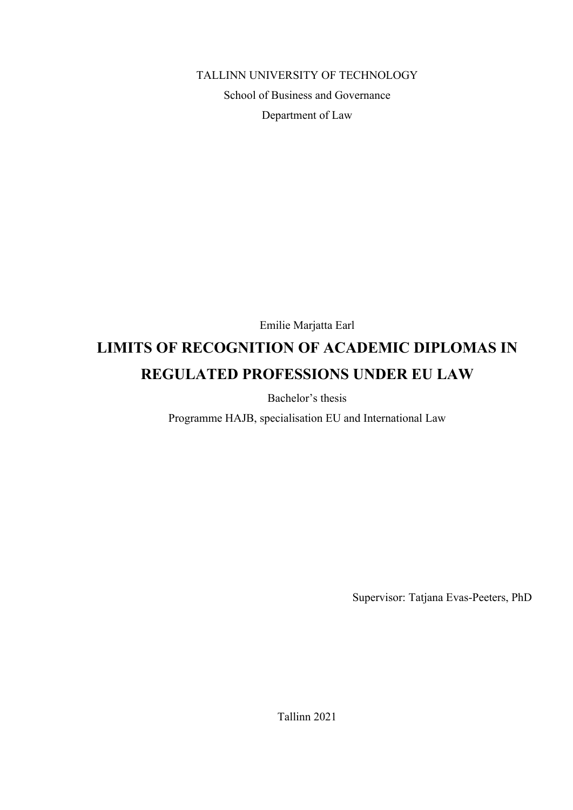TALLINN UNIVERSITY OF TECHNOLOGY

School of Business and Governance Department of Law

Emilie Marjatta Earl

# **LIMITS OF RECOGNITION OF ACADEMIC DIPLOMAS IN REGULATED PROFESSIONS UNDER EU LAW**

Bachelor's thesis

Programme HAJB, specialisation EU and International Law

Supervisor: Tatjana Evas-Peeters, PhD

Tallinn 2021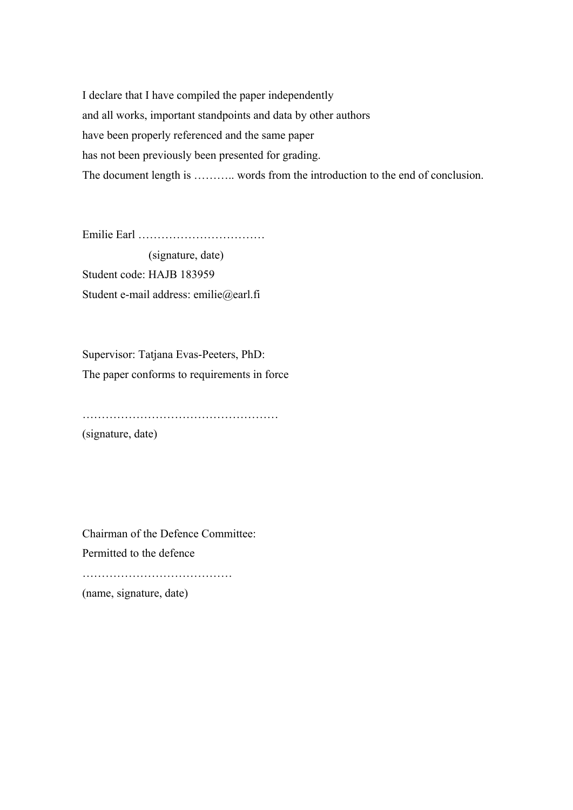I declare that I have compiled the paper independently and all works, important standpoints and data by other authors have been properly referenced and the same paper has not been previously been presented for grading. The document length is ……….. words from the introduction to the end of conclusion.

Emilie Earl ……………………………

 (signature, date) Student code: HAJB 183959 Student e-mail address: emilie@earl.fi

Supervisor: Tatjana Evas-Peeters, PhD: The paper conforms to requirements in force

……………………………………………

(signature, date)

Chairman of the Defence Committee:

Permitted to the defence

…………………………………………

(name, signature, date)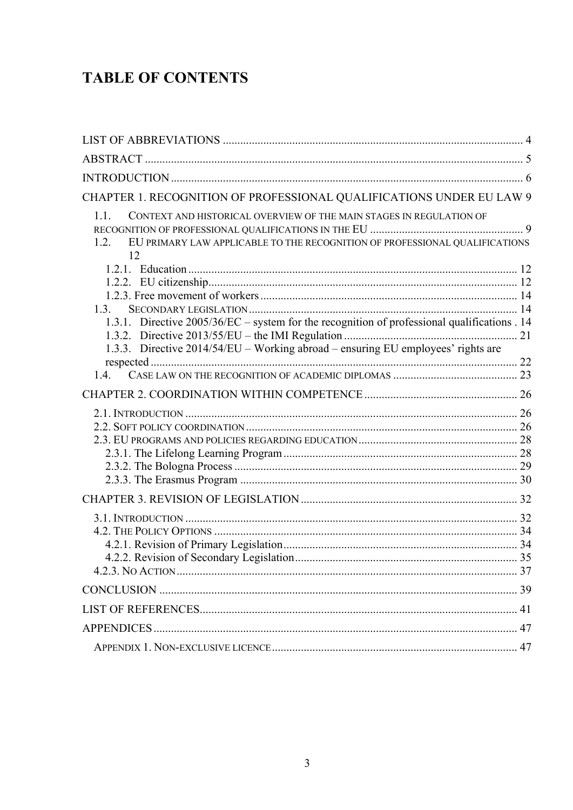# **TABLE OF CONTENTS**

| CHAPTER 1. RECOGNITION OF PROFESSIONAL QUALIFICATIONS UNDER EU LAW 9                                                                                                     |  |
|--------------------------------------------------------------------------------------------------------------------------------------------------------------------------|--|
| 1.1.<br>CONTEXT AND HISTORICAL OVERVIEW OF THE MAIN STAGES IN REGULATION OF<br>EU PRIMARY LAW APPLICABLE TO THE RECOGNITION OF PROFESSIONAL QUALIFICATIONS<br>1.2.<br>12 |  |
|                                                                                                                                                                          |  |
|                                                                                                                                                                          |  |
|                                                                                                                                                                          |  |
| 1.3.                                                                                                                                                                     |  |
| 1.3.1. Directive 2005/36/EC – system for the recognition of professional qualifications . 14                                                                             |  |
|                                                                                                                                                                          |  |
| 1.3.3. Directive 2014/54/EU - Working abroad - ensuring EU employees' rights are                                                                                         |  |
|                                                                                                                                                                          |  |
|                                                                                                                                                                          |  |
|                                                                                                                                                                          |  |
|                                                                                                                                                                          |  |
|                                                                                                                                                                          |  |
|                                                                                                                                                                          |  |
|                                                                                                                                                                          |  |
|                                                                                                                                                                          |  |
|                                                                                                                                                                          |  |
|                                                                                                                                                                          |  |
|                                                                                                                                                                          |  |
|                                                                                                                                                                          |  |
|                                                                                                                                                                          |  |
|                                                                                                                                                                          |  |
|                                                                                                                                                                          |  |
|                                                                                                                                                                          |  |
|                                                                                                                                                                          |  |
|                                                                                                                                                                          |  |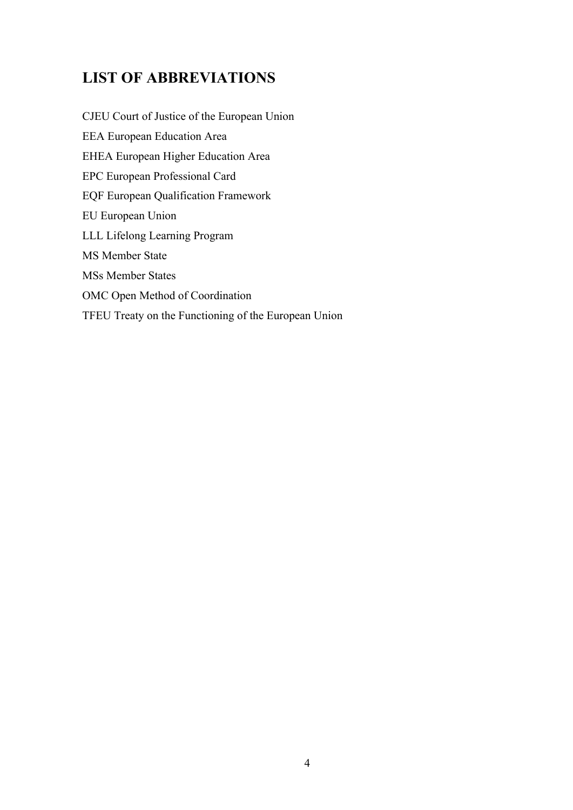## **LIST OF ABBREVIATIONS**

CJEU Court of Justice of the European Union EEA European Education Area EHEA European Higher Education Area EPC European Professional Card EQF European Qualification Framework EU European Union LLL Lifelong Learning Program MS Member State MSs Member States OMC Open Method of Coordination TFEU Treaty on the Functioning of the European Union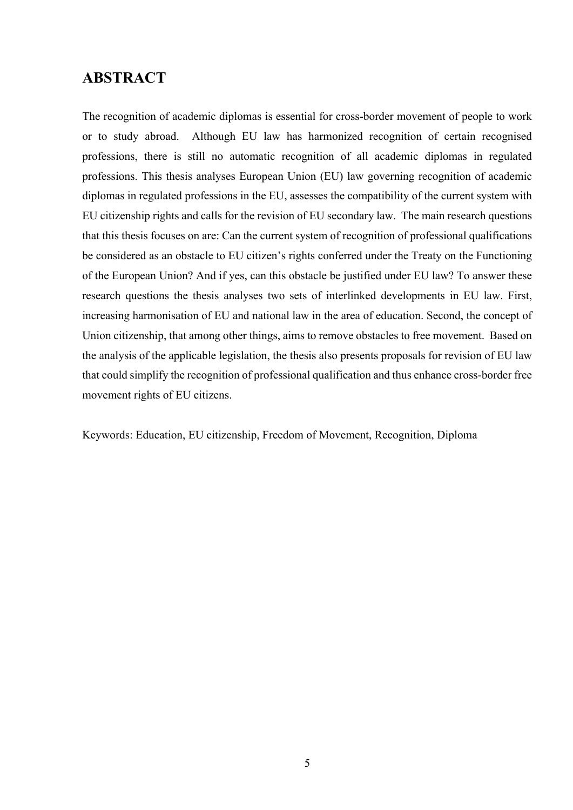## **ABSTRACT**

The recognition of academic diplomas is essential for cross-border movement of people to work or to study abroad. Although EU law has harmonized recognition of certain recognised professions, there is still no automatic recognition of all academic diplomas in regulated professions. This thesis analyses European Union (EU) law governing recognition of academic diplomas in regulated professions in the EU, assesses the compatibility of the current system with EU citizenship rights and calls for the revision of EU secondary law. The main research questions that this thesis focuses on are: Can the current system of recognition of professional qualifications be considered as an obstacle to EU citizen's rights conferred under the Treaty on the Functioning of the European Union? And if yes, can this obstacle be justified under EU law? To answer these research questions the thesis analyses two sets of interlinked developments in EU law. First, increasing harmonisation of EU and national law in the area of education. Second, the concept of Union citizenship, that among other things, aims to remove obstacles to free movement. Based on the analysis of the applicable legislation, the thesis also presents proposals for revision of EU law that could simplify the recognition of professional qualification and thus enhance cross-border free movement rights of EU citizens.

Keywords: Education, EU citizenship, Freedom of Movement, Recognition, Diploma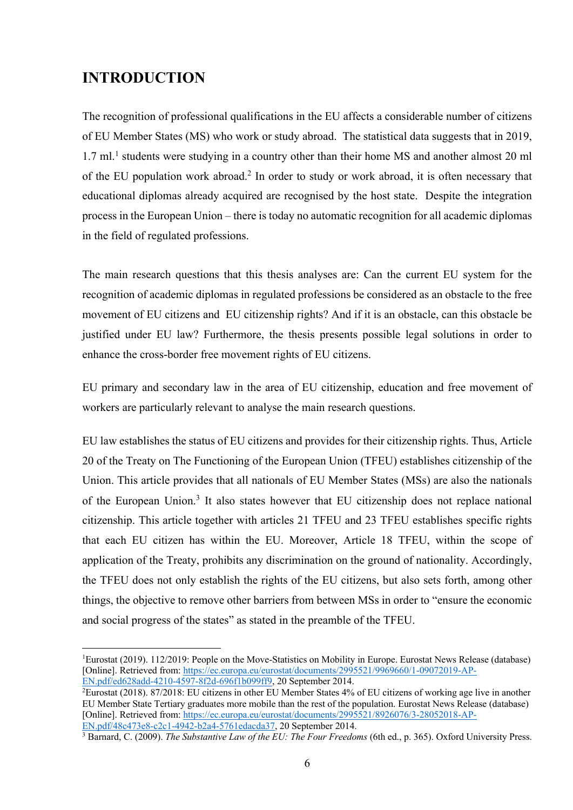## **INTRODUCTION**

The recognition of professional qualifications in the EU affects a considerable number of citizens of EU Member States (MS) who work or study abroad. The statistical data suggests that in 2019, 1.7 ml.<sup>1</sup> students were studying in a country other than their home MS and another almost 20 ml of the EU population work abroad. <sup>2</sup> In order to study or work abroad, it is often necessary that educational diplomas already acquired are recognised by the host state. Despite the integration process in the European Union – there is today no automatic recognition for all academic diplomas in the field of regulated professions.

The main research questions that this thesis analyses are: Can the current EU system for the recognition of academic diplomas in regulated professions be considered as an obstacle to the free movement of EU citizens and EU citizenship rights? And if it is an obstacle, can this obstacle be justified under EU law? Furthermore, the thesis presents possible legal solutions in order to enhance the cross-border free movement rights of EU citizens.

EU primary and secondary law in the area of EU citizenship, education and free movement of workers are particularly relevant to analyse the main research questions.

EU law establishes the status of EU citizens and provides for their citizenship rights. Thus, Article 20 of the Treaty on The Functioning of the European Union (TFEU) establishes citizenship of the Union. This article provides that all nationals of EU Member States (MSs) are also the nationals of the European Union.3 It also states however that EU citizenship does not replace national citizenship. This article together with articles 21 TFEU and 23 TFEU establishes specific rights that each EU citizen has within the EU. Moreover, Article 18 TFEU, within the scope of application of the Treaty, prohibits any discrimination on the ground of nationality. Accordingly, the TFEU does not only establish the rights of the EU citizens, but also sets forth, among other things, the objective to remove other barriers from between MSs in order to "ensure the economic and social progress of the states" as stated in the preamble of the TFEU.

EN.pdf/48c473e8-c2c1-4942-b2a4-5761edacda37, 20 September 2014.

<sup>&</sup>lt;sup>1</sup>Eurostat (2019). 112/2019: People on the Move-Statistics on Mobility in Europe. Eurostat News Release (database) [Online]. Retrieved from: https://ec.europa.eu/eurostat/documents/2995521/9969660/1-09072019-AP-EN.pdf/ed628add-4210-4597-8f2d-696f1b099ff9, 20 September 2014.

<sup>2</sup> Eurostat (2018). 87/2018: EU citizens in other EU Member States 4% of EU citizens of working age live in another EU Member State Tertiary graduates more mobile than the rest of the population. Eurostat News Release (database) [Online]. Retrieved from: https://ec.europa.eu/eurostat/documents/2995521/8926076/3-28052018-AP-

<sup>3</sup> Barnard, C. (2009). *The Substantive Law of the EU: The Four Freedoms* (6th ed., p. 365). Oxford University Press.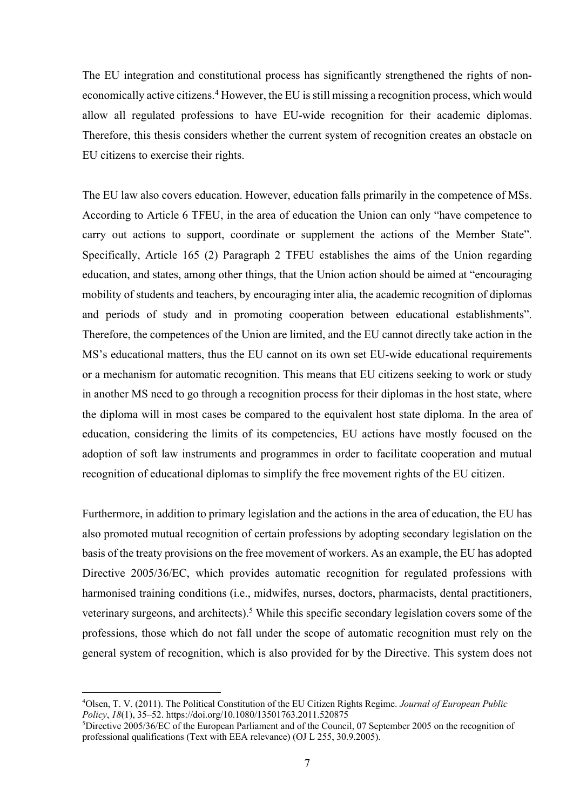The EU integration and constitutional process has significantly strengthened the rights of noneconomically active citizens. <sup>4</sup> However, the EU is still missing a recognition process, which would allow all regulated professions to have EU-wide recognition for their academic diplomas. Therefore, this thesis considers whether the current system of recognition creates an obstacle on EU citizens to exercise their rights.

The EU law also covers education. However, education falls primarily in the competence of MSs. According to Article 6 TFEU, in the area of education the Union can only "have competence to carry out actions to support, coordinate or supplement the actions of the Member State". Specifically, Article 165 (2) Paragraph 2 TFEU establishes the aims of the Union regarding education, and states, among other things, that the Union action should be aimed at "encouraging mobility of students and teachers, by encouraging inter alia, the academic recognition of diplomas and periods of study and in promoting cooperation between educational establishments". Therefore, the competences of the Union are limited, and the EU cannot directly take action in the MS's educational matters, thus the EU cannot on its own set EU-wide educational requirements or a mechanism for automatic recognition. This means that EU citizens seeking to work or study in another MS need to go through a recognition process for their diplomas in the host state, where the diploma will in most cases be compared to the equivalent host state diploma. In the area of education, considering the limits of its competencies, EU actions have mostly focused on the adoption of soft law instruments and programmes in order to facilitate cooperation and mutual recognition of educational diplomas to simplify the free movement rights of the EU citizen.

Furthermore, in addition to primary legislation and the actions in the area of education, the EU has also promoted mutual recognition of certain professions by adopting secondary legislation on the basis of the treaty provisions on the free movement of workers. As an example, the EU has adopted Directive 2005/36/EC, which provides automatic recognition for regulated professions with harmonised training conditions (i.e., midwifes, nurses, doctors, pharmacists, dental practitioners, veterinary surgeons, and architects).<sup>5</sup> While this specific secondary legislation covers some of the professions, those which do not fall under the scope of automatic recognition must rely on the general system of recognition, which is also provided for by the Directive. This system does not

<sup>4</sup> Olsen, T. V. (2011). The Political Constitution of the EU Citizen Rights Regime. *Journal of European Public Policy*, *18*(1), 35–52. https://doi.org/10.1080/13501763.2011.520875

<sup>5</sup> Directive 2005/36/EC of the European Parliament and of the Council, 07 September 2005 on the recognition of professional qualifications (Text with EEA relevance) (OJ L 255, 30.9.2005).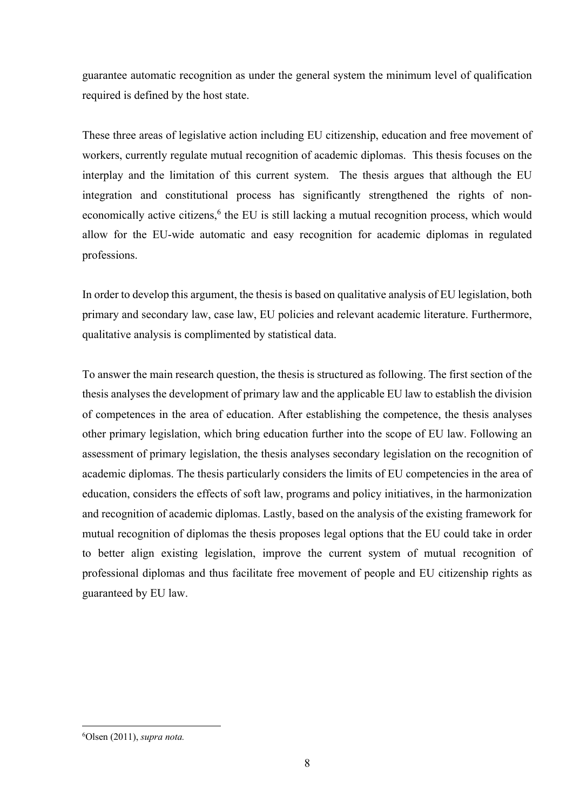guarantee automatic recognition as under the general system the minimum level of qualification required is defined by the host state.

These three areas of legislative action including EU citizenship, education and free movement of workers, currently regulate mutual recognition of academic diplomas. This thesis focuses on the interplay and the limitation of this current system. The thesis argues that although the EU integration and constitutional process has significantly strengthened the rights of noneconomically active citizens,<sup>6</sup> the EU is still lacking a mutual recognition process, which would allow for the EU-wide automatic and easy recognition for academic diplomas in regulated professions.

In order to develop this argument, the thesis is based on qualitative analysis of EU legislation, both primary and secondary law, case law, EU policies and relevant academic literature. Furthermore, qualitative analysis is complimented by statistical data.

To answer the main research question, the thesis is structured as following. The first section of the thesis analyses the development of primary law and the applicable EU law to establish the division of competences in the area of education. After establishing the competence, the thesis analyses other primary legislation, which bring education further into the scope of EU law. Following an assessment of primary legislation, the thesis analyses secondary legislation on the recognition of academic diplomas. The thesis particularly considers the limits of EU competencies in the area of education, considers the effects of soft law, programs and policy initiatives, in the harmonization and recognition of academic diplomas. Lastly, based on the analysis of the existing framework for mutual recognition of diplomas the thesis proposes legal options that the EU could take in order to better align existing legislation, improve the current system of mutual recognition of professional diplomas and thus facilitate free movement of people and EU citizenship rights as guaranteed by EU law.

<sup>6</sup> Olsen (2011), *supra nota.*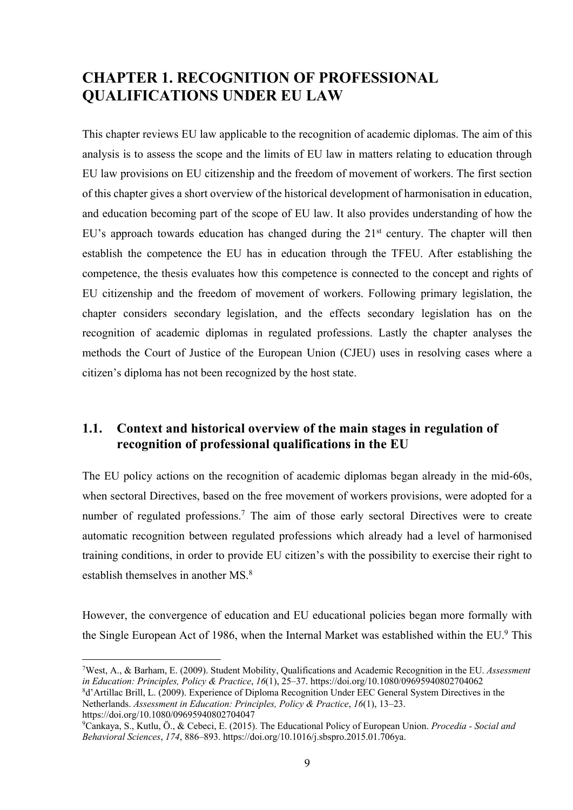## **CHAPTER 1. RECOGNITION OF PROFESSIONAL QUALIFICATIONS UNDER EU LAW**

This chapter reviews EU law applicable to the recognition of academic diplomas. The aim of this analysis is to assess the scope and the limits of EU law in matters relating to education through EU law provisions on EU citizenship and the freedom of movement of workers. The first section of this chapter gives a short overview of the historical development of harmonisation in education, and education becoming part of the scope of EU law. It also provides understanding of how the EU's approach towards education has changed during the  $21<sup>st</sup>$  century. The chapter will then establish the competence the EU has in education through the TFEU. After establishing the competence, the thesis evaluates how this competence is connected to the concept and rights of EU citizenship and the freedom of movement of workers. Following primary legislation, the chapter considers secondary legislation, and the effects secondary legislation has on the recognition of academic diplomas in regulated professions. Lastly the chapter analyses the methods the Court of Justice of the European Union (CJEU) uses in resolving cases where a citizen's diploma has not been recognized by the host state.

## **1.1. Context and historical overview of the main stages in regulation of recognition of professional qualifications in the EU**

The EU policy actions on the recognition of academic diplomas began already in the mid-60s, when sectoral Directives, based on the free movement of workers provisions, were adopted for a number of regulated professions.<sup>7</sup> The aim of those early sectoral Directives were to create automatic recognition between regulated professions which already had a level of harmonised training conditions, in order to provide EU citizen's with the possibility to exercise their right to establish themselves in another MS.8

However, the convergence of education and EU educational policies began more formally with the Single European Act of 1986, when the Internal Market was established within the EU.<sup>9</sup> This

<sup>7</sup> West, A., & Barham, E. (2009). Student Mobility, Qualifications and Academic Recognition in the EU. *Assessment in Education: Principles, Policy & Practice*, *16*(1), 25–37. https://doi.org/10.1080/09695940802704062

<sup>8</sup> d'Artillac Brill, L. (2009). Experience of Diploma Recognition Under EEC General System Directives in the Netherlands. *Assessment in Education: Principles, Policy & Practice*, *16*(1), 13–23. https://doi.org/10.1080/09695940802704047

<sup>9</sup> Cankaya, S., Kutlu, Ö., & Cebeci, E. (2015). The Educational Policy of European Union. *Procedia - Social and Behavioral Sciences*, *174*, 886–893. https://doi.org/10.1016/j.sbspro.2015.01.706ya.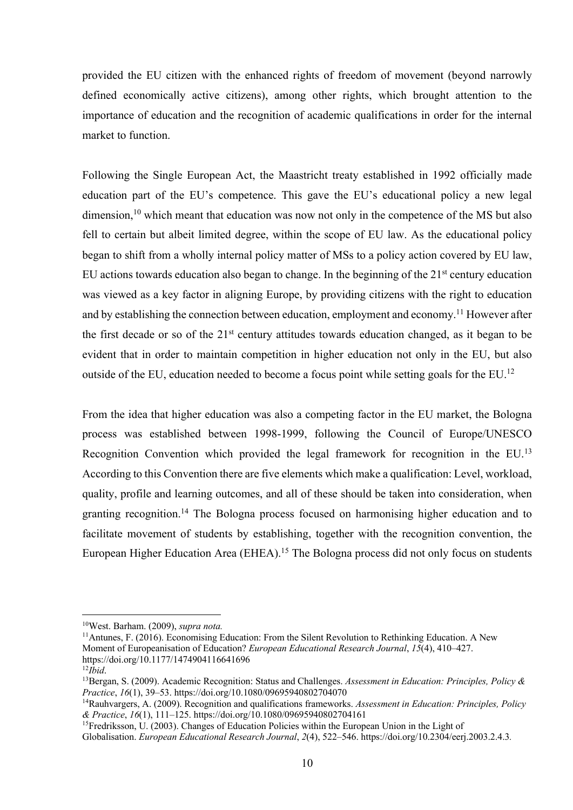provided the EU citizen with the enhanced rights of freedom of movement (beyond narrowly defined economically active citizens), among other rights, which brought attention to the importance of education and the recognition of academic qualifications in order for the internal market to function.

Following the Single European Act, the Maastricht treaty established in 1992 officially made education part of the EU's competence. This gave the EU's educational policy a new legal dimension,  $10$  which meant that education was now not only in the competence of the MS but also fell to certain but albeit limited degree, within the scope of EU law. As the educational policy began to shift from a wholly internal policy matter of MSs to a policy action covered by EU law, EU actions towards education also began to change. In the beginning of the  $21<sup>st</sup>$  century education was viewed as a key factor in aligning Europe, by providing citizens with the right to education and by establishing the connection between education, employment and economy.<sup>11</sup> However after the first decade or so of the  $21<sup>st</sup>$  century attitudes towards education changed, as it began to be evident that in order to maintain competition in higher education not only in the EU, but also outside of the EU, education needed to become a focus point while setting goals for the EU.<sup>12</sup>

From the idea that higher education was also a competing factor in the EU market, the Bologna process was established between 1998-1999, following the Council of Europe/UNESCO Recognition Convention which provided the legal framework for recognition in the EU.<sup>13</sup> According to this Convention there are five elements which make a qualification: Level, workload, quality, profile and learning outcomes, and all of these should be taken into consideration, when granting recognition.14 The Bologna process focused on harmonising higher education and to facilitate movement of students by establishing, together with the recognition convention, the European Higher Education Area (EHEA).<sup>15</sup> The Bologna process did not only focus on students

<sup>10</sup>West. Barham. (2009), *supra nota.*

<sup>11</sup>Antunes, F. (2016). Economising Education: From the Silent Revolution to Rethinking Education. A New Moment of Europeanisation of Education? *European Educational Research Journal*, *15*(4), 410–427. https://doi.org/10.1177/1474904116641696

 $^{12}$ *Ibid.* 

<sup>13</sup>Bergan, S. (2009). Academic Recognition: Status and Challenges. *Assessment in Education: Principles, Policy & Practice*, *16*(1), 39–53. https://doi.org/10.1080/09695940802704070

<sup>14</sup>Rauhvargers, A. (2009). Recognition and qualifications frameworks. *Assessment in Education: Principles, Policy & Practice*, *16*(1), 111–125. https://doi.org/10.1080/09695940802704161

<sup>&</sup>lt;sup>15</sup>Fredriksson, U. (2003). Changes of Education Policies within the European Union in the Light of

Globalisation. *European Educational Research Journal*, *2*(4), 522–546. https://doi.org/10.2304/eerj.2003.2.4.3*.*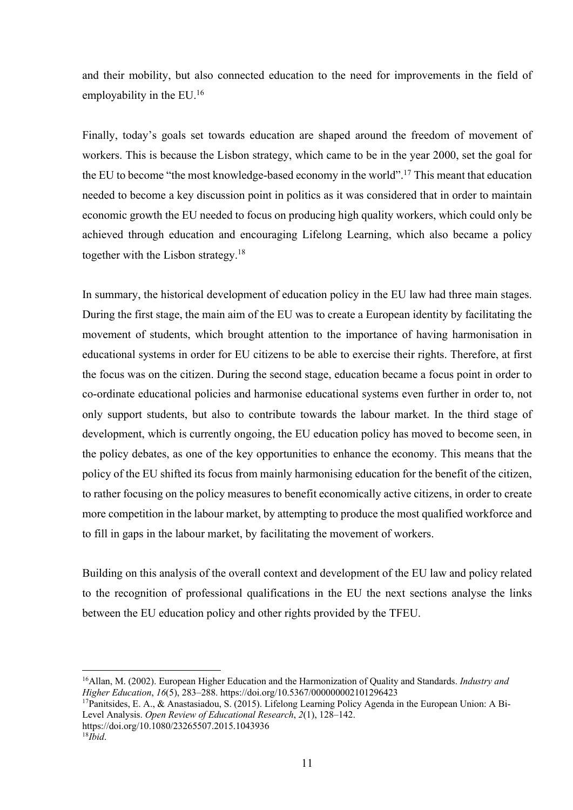and their mobility, but also connected education to the need for improvements in the field of employability in the EU.16

Finally, today's goals set towards education are shaped around the freedom of movement of workers. This is because the Lisbon strategy, which came to be in the year 2000, set the goal for the EU to become "the most knowledge-based economy in the world".17 This meant that education needed to become a key discussion point in politics as it was considered that in order to maintain economic growth the EU needed to focus on producing high quality workers, which could only be achieved through education and encouraging Lifelong Learning, which also became a policy together with the Lisbon strategy.18

In summary, the historical development of education policy in the EU law had three main stages. During the first stage, the main aim of the EU was to create a European identity by facilitating the movement of students, which brought attention to the importance of having harmonisation in educational systems in order for EU citizens to be able to exercise their rights. Therefore, at first the focus was on the citizen. During the second stage, education became a focus point in order to co-ordinate educational policies and harmonise educational systems even further in order to, not only support students, but also to contribute towards the labour market. In the third stage of development, which is currently ongoing, the EU education policy has moved to become seen, in the policy debates, as one of the key opportunities to enhance the economy. This means that the policy of the EU shifted its focus from mainly harmonising education for the benefit of the citizen, to rather focusing on the policy measures to benefit economically active citizens, in order to create more competition in the labour market, by attempting to produce the most qualified workforce and to fill in gaps in the labour market, by facilitating the movement of workers.

Building on this analysis of the overall context and development of the EU law and policy related to the recognition of professional qualifications in the EU the next sections analyse the links between the EU education policy and other rights provided by the TFEU.

<sup>16</sup>Allan, M. (2002). European Higher Education and the Harmonization of Quality and Standards. *Industry and Higher Education*, *16*(5), 283–288. https://doi.org/10.5367/000000002101296423

<sup>17</sup>Panitsides, E. A., & Anastasiadou, S. (2015). Lifelong Learning Policy Agenda in the European Union: A Bi-Level Analysis. *Open Review of Educational Research*, *2*(1), 128–142. https://doi.org/10.1080/23265507.2015.1043936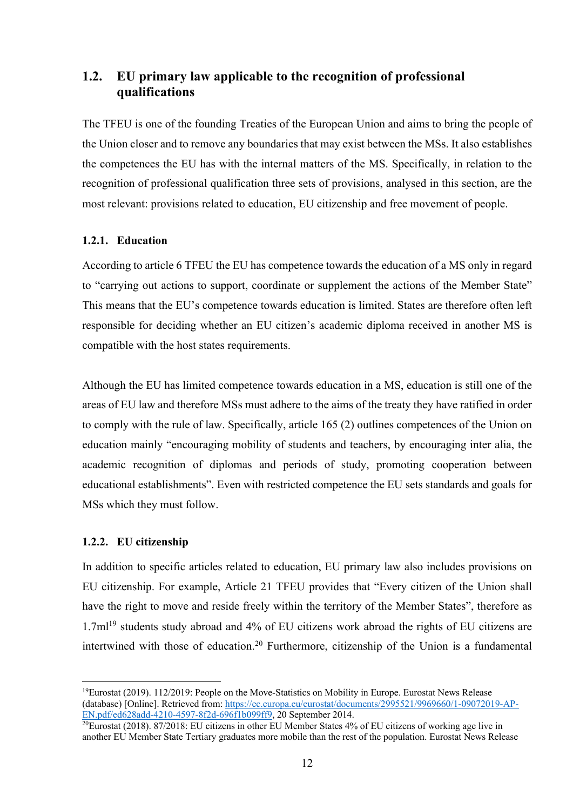## **1.2. EU primary law applicable to the recognition of professional qualifications**

The TFEU is one of the founding Treaties of the European Union and aims to bring the people of the Union closer and to remove any boundaries that may exist between the MSs. It also establishes the competences the EU has with the internal matters of the MS. Specifically, in relation to the recognition of professional qualification three sets of provisions, analysed in this section, are the most relevant: provisions related to education, EU citizenship and free movement of people.

### **1.2.1. Education**

According to article 6 TFEU the EU has competence towards the education of a MS only in regard to "carrying out actions to support, coordinate or supplement the actions of the Member State" This means that the EU's competence towards education is limited. States are therefore often left responsible for deciding whether an EU citizen's academic diploma received in another MS is compatible with the host states requirements.

Although the EU has limited competence towards education in a MS, education is still one of the areas of EU law and therefore MSs must adhere to the aims of the treaty they have ratified in order to comply with the rule of law. Specifically, article 165 (2) outlines competences of the Union on education mainly "encouraging mobility of students and teachers, by encouraging inter alia, the academic recognition of diplomas and periods of study, promoting cooperation between educational establishments". Even with restricted competence the EU sets standards and goals for MSs which they must follow.

### **1.2.2. EU citizenship**

In addition to specific articles related to education, EU primary law also includes provisions on EU citizenship. For example, Article 21 TFEU provides that "Every citizen of the Union shall have the right to move and reside freely within the territory of the Member States", therefore as 1.7ml<sup>19</sup> students study abroad and 4% of EU citizens work abroad the rights of EU citizens are intertwined with those of education.<sup>20</sup> Furthermore, citizenship of the Union is a fundamental

<sup>19</sup>Eurostat (2019). 112/2019: People on the Move-Statistics on Mobility in Europe. Eurostat News Release (database) [Online]. Retrieved from: https://ec.europa.eu/eurostat/documents/2995521/9969660/1-09072019-AP-EN.pdf/ed628add-4210-4597-8f2d-696f1b099ff9, 20 September 2014.

 $20$ Eurostat (2018). 87/2018: EU citizens in other EU Member States 4% of EU citizens of working age live in another EU Member State Tertiary graduates more mobile than the rest of the population. Eurostat News Release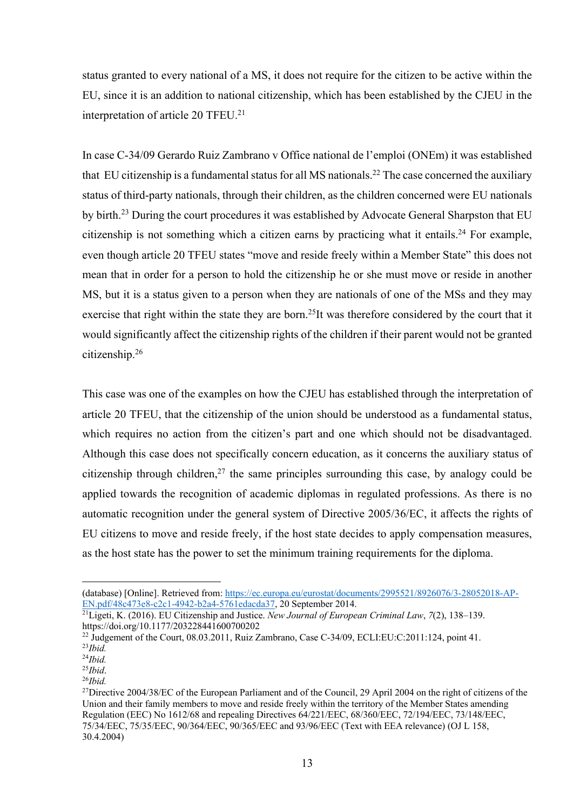status granted to every national of a MS, it does not require for the citizen to be active within the EU, since it is an addition to national citizenship, which has been established by the CJEU in the interpretation of article 20 TFEU.<sup>21</sup>

In case C-34/09 Gerardo Ruiz Zambrano v Office national de l'emploi (ONEm) it was established that EU citizenship is a fundamental status for all MS nationals.<sup>22</sup> The case concerned the auxiliary status of third-party nationals, through their children, as the children concerned were EU nationals by birth.<sup>23</sup> During the court procedures it was established by Advocate General Sharpston that EU citizenship is not something which a citizen earns by practicing what it entails.<sup>24</sup> For example, even though article 20 TFEU states "move and reside freely within a Member State" this does not mean that in order for a person to hold the citizenship he or she must move or reside in another MS, but it is a status given to a person when they are nationals of one of the MSs and they may exercise that right within the state they are born.<sup>25</sup>It was therefore considered by the court that it would significantly affect the citizenship rights of the children if their parent would not be granted citizenship.26

This case was one of the examples on how the CJEU has established through the interpretation of article 20 TFEU, that the citizenship of the union should be understood as a fundamental status, which requires no action from the citizen's part and one which should not be disadvantaged. Although this case does not specifically concern education, as it concerns the auxiliary status of citizenship through children,<sup>27</sup> the same principles surrounding this case, by analogy could be applied towards the recognition of academic diplomas in regulated professions. As there is no automatic recognition under the general system of Directive 2005/36/EC, it affects the rights of EU citizens to move and reside freely, if the host state decides to apply compensation measures, as the host state has the power to set the minimum training requirements for the diploma.

<sup>(</sup>database) [Online]. Retrieved from: https://ec.europa.eu/eurostat/documents/2995521/8926076/3-28052018-AP-EN.pdf/48c473e8-c2c1-4942-b2a4-5761edacda37, 20 September 2014.

<sup>21</sup>Ligeti, K. (2016). EU Citizenship and Justice. *New Journal of European Criminal Law*, *7*(2), 138–139. https://doi.org/10.1177/203228441600700202

<sup>&</sup>lt;sup>22</sup> Judgement of the Court,  $08.03.2011$ , Ruiz Zambrano, Case C-34/09, ECLI:EU:C:2011:124, point 41. <sup>23</sup>*Ibid.*

<sup>24</sup>*Ibid.*

<sup>25</sup>*Ibid*.

<sup>26</sup>*Ibid.*

<sup>&</sup>lt;sup>27</sup>Directive 2004/38/EC of the European Parliament and of the Council, 29 April 2004 on the right of citizens of the Union and their family members to move and reside freely within the territory of the Member States amending Regulation (EEC) No 1612/68 and repealing Directives 64/221/EEC, 68/360/EEC, 72/194/EEC, 73/148/EEC, 75/34/EEC, 75/35/EEC, 90/364/EEC, 90/365/EEC and 93/96/EEC (Text with EEA relevance) (OJ L 158, 30.4.2004)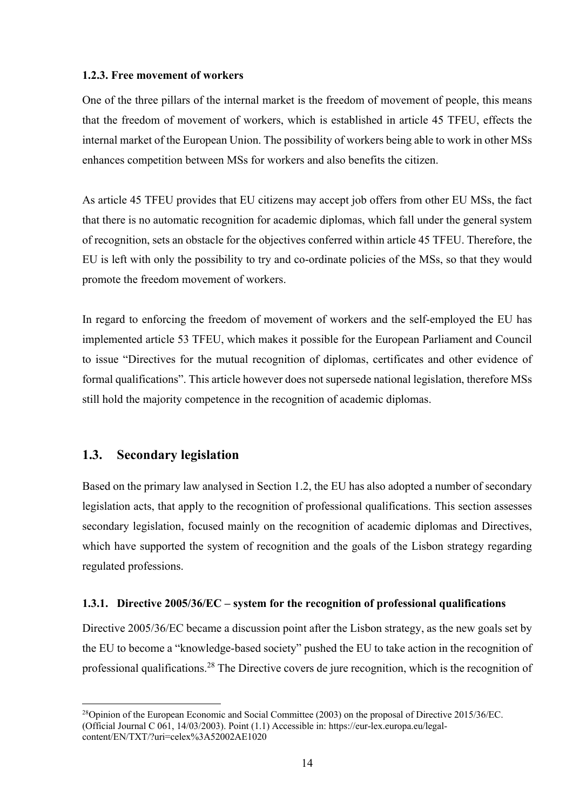#### **1.2.3. Free movement of workers**

One of the three pillars of the internal market is the freedom of movement of people, this means that the freedom of movement of workers, which is established in article 45 TFEU, effects the internal market of the European Union. The possibility of workers being able to work in other MSs enhances competition between MSs for workers and also benefits the citizen.

As article 45 TFEU provides that EU citizens may accept job offers from other EU MSs, the fact that there is no automatic recognition for academic diplomas, which fall under the general system of recognition, sets an obstacle for the objectives conferred within article 45 TFEU. Therefore, the EU is left with only the possibility to try and co-ordinate policies of the MSs, so that they would promote the freedom movement of workers.

In regard to enforcing the freedom of movement of workers and the self-employed the EU has implemented article 53 TFEU, which makes it possible for the European Parliament and Council to issue "Directives for the mutual recognition of diplomas, certificates and other evidence of formal qualifications". This article however does not supersede national legislation, therefore MSs still hold the majority competence in the recognition of academic diplomas.

## **1.3. Secondary legislation**

Based on the primary law analysed in Section 1.2, the EU has also adopted a number of secondary legislation acts, that apply to the recognition of professional qualifications. This section assesses secondary legislation, focused mainly on the recognition of academic diplomas and Directives, which have supported the system of recognition and the goals of the Lisbon strategy regarding regulated professions.

## **1.3.1. Directive 2005/36/EC – system for the recognition of professional qualifications**

Directive 2005/36/EC became a discussion point after the Lisbon strategy, as the new goals set by the EU to become a "knowledge-based society" pushed the EU to take action in the recognition of professional qualifications.28 The Directive covers de jure recognition, which is the recognition of

 $^{28}$ Opinion of the European Economic and Social Committee (2003) on the proposal of Directive 2015/36/EC. (Official Journal C 061, 14/03/2003). Point (1.1) Accessible in: https://eur-lex.europa.eu/legalcontent/EN/TXT/?uri=celex%3A52002AE1020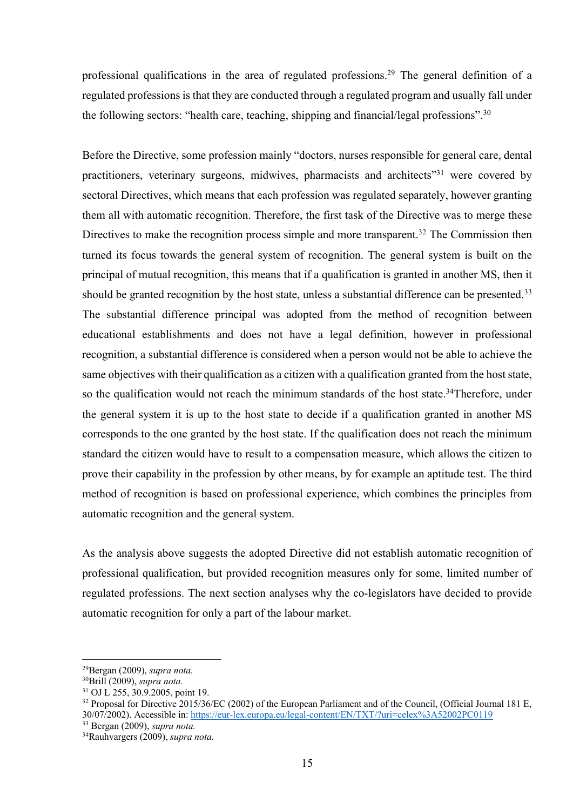professional qualifications in the area of regulated professions.<sup>29</sup> The general definition of a regulated professions is that they are conducted through a regulated program and usually fall under the following sectors: "health care, teaching, shipping and financial/legal professions".<sup>30</sup>

Before the Directive, some profession mainly "doctors, nurses responsible for general care, dental practitioners, veterinary surgeons, midwives, pharmacists and architects<sup>331</sup> were covered by sectoral Directives, which means that each profession was regulated separately, however granting them all with automatic recognition. Therefore, the first task of the Directive was to merge these Directives to make the recognition process simple and more transparent.<sup>32</sup> The Commission then turned its focus towards the general system of recognition. The general system is built on the principal of mutual recognition, this means that if a qualification is granted in another MS, then it should be granted recognition by the host state, unless a substantial difference can be presented.<sup>33</sup> The substantial difference principal was adopted from the method of recognition between educational establishments and does not have a legal definition, however in professional recognition, a substantial difference is considered when a person would not be able to achieve the same objectives with their qualification as a citizen with a qualification granted from the host state, so the qualification would not reach the minimum standards of the host state.<sup>34</sup>Therefore, under the general system it is up to the host state to decide if a qualification granted in another MS corresponds to the one granted by the host state. If the qualification does not reach the minimum standard the citizen would have to result to a compensation measure, which allows the citizen to prove their capability in the profession by other means, by for example an aptitude test. The third method of recognition is based on professional experience, which combines the principles from automatic recognition and the general system.

As the analysis above suggests the adopted Directive did not establish automatic recognition of professional qualification, but provided recognition measures only for some, limited number of regulated professions. The next section analyses why the co-legislators have decided to provide automatic recognition for only a part of the labour market.

<sup>29</sup>Bergan (2009), *supra nota.*

<sup>30</sup>Brill (2009), *supra nota.*

<sup>31</sup> OJ L 255, 30.9.2005, point 19.

<sup>&</sup>lt;sup>32</sup> Proposal for Directive 2015/36/EC (2002) of the European Parliament and of the Council, (Official Journal 181 E, 30/07/2002). Accessible in: https://eur-lex.europa.eu/legal-content/EN/TXT/?uri=celex%3A52002PC0119 <sup>33</sup> Bergan (2009), *supra nota.*

<sup>34</sup>Rauhvargers (2009), *supra nota.*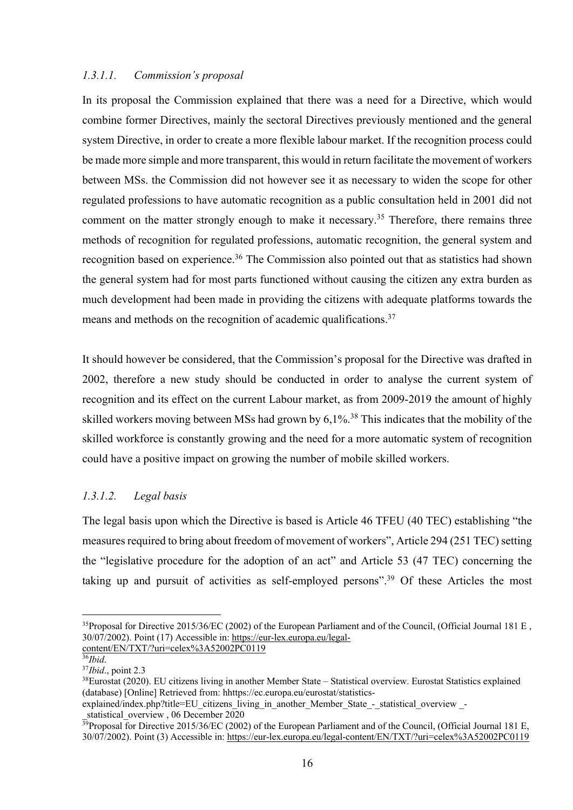## *1.3.1.1. Commission's proposal*

In its proposal the Commission explained that there was a need for a Directive, which would combine former Directives, mainly the sectoral Directives previously mentioned and the general system Directive, in order to create a more flexible labour market. If the recognition process could be made more simple and more transparent, this would in return facilitate the movement of workers between MSs. the Commission did not however see it as necessary to widen the scope for other regulated professions to have automatic recognition as a public consultation held in 2001 did not comment on the matter strongly enough to make it necessary.<sup>35</sup> Therefore, there remains three methods of recognition for regulated professions, automatic recognition, the general system and recognition based on experience.<sup>36</sup> The Commission also pointed out that as statistics had shown the general system had for most parts functioned without causing the citizen any extra burden as much development had been made in providing the citizens with adequate platforms towards the means and methods on the recognition of academic qualifications.<sup>37</sup>

It should however be considered, that the Commission's proposal for the Directive was drafted in 2002, therefore a new study should be conducted in order to analyse the current system of recognition and its effect on the current Labour market, as from 2009-2019 the amount of highly skilled workers moving between MSs had grown by  $6.1\%$ <sup>38</sup> This indicates that the mobility of the skilled workforce is constantly growing and the need for a more automatic system of recognition could have a positive impact on growing the number of mobile skilled workers.

## *1.3.1.2. Legal basis*

The legal basis upon which the Directive is based is Article 46 TFEU (40 TEC) establishing "the measures required to bring about freedom of movement of workers", Article 294 (251 TEC) setting the "legislative procedure for the adoption of an act" and Article 53 (47 TEC) concerning the taking up and pursuit of activities as self-employed persons".<sup>39</sup> Of these Articles the most

<sup>&</sup>lt;sup>35</sup>Proposal for Directive 2015/36/EC (2002) of the European Parliament and of the Council, (Official Journal 181 E, 30/07/2002). Point (17) Accessible in: https://eur-lex.europa.eu/legalcontent/EN/TXT/?uri=celex%3A52002PC0119

<sup>36</sup>*Ibid*.

<sup>37</sup>*Ibid*., point 2.3

<sup>38</sup>Eurostat (2020). EU citizens living in another Member State – Statistical overview. Eurostat Statistics explained (database) [Online] Retrieved from: hhttps://ec.europa.eu/eurostat/statistics-

explained/index.php?title=EU citizens\_living\_in\_another\_Member\_State\_-\_statistical\_overview -\_statistical\_overview , 06 December 2020

 $39$ Proposal for Directive 2015/36/EC (2002) of the European Parliament and of the Council, (Official Journal 181 E, 30/07/2002). Point (3) Accessible in: https://eur-lex.europa.eu/legal-content/EN/TXT/?uri=celex%3A52002PC0119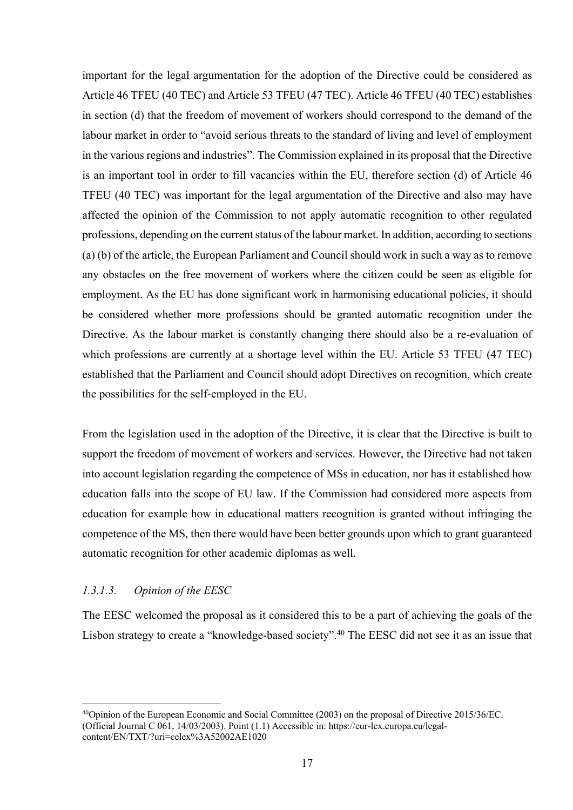important for the legal argumentation for the adoption of the Directive could be considered as Article 46 TFEU (40 TEC) and Article 53 TFEU (47 TEC). Article 46 TFEU (40 TEC) establishes in section (d) that the freedom of movement of workers should correspond to the demand of the labour market in order to "avoid serious threats to the standard of living and level of employment in the various regions and industries". The Commission explained in its proposal that the Directive is an important tool in order to fill vacancies within the EU, therefore section (d) of Article 46 TFEU (40 TEC) was important for the legal argumentation of the Directive and also may have affected the opinion of the Commission to not apply automatic recognition to other regulated professions, depending on the current status of the labour market. In addition, according to sections (a) (b) of the article, the European Parliament and Council should work in such a way as to remove any obstacles on the free movement of workers where the citizen could be seen as eligible for employment. As the EU has done significant work in harmonising educational policies, it should be considered whether more professions should be granted automatic recognition under the Directive. As the labour market is constantly changing there should also be a re-evaluation of which professions are currently at a shortage level within the EU. Article 53 TFEU (47 TEC) established that the Parliament and Council should adopt Directives on recognition, which create the possibilities for the self-employed in the EU.

From the legislation used in the adoption of the Directive, it is clear that the Directive is built to support the freedom of movement of workers and services. However, the Directive had not taken into account legislation regarding the competence of MSs in education, nor has it established how education falls into the scope of EU law. If the Commission had considered more aspects from education for example how in educational matters recognition is granted without infringing the competence of the MS, then there would have been better grounds upon which to grant guaranteed automatic recognition for other academic diplomas as well.

### *1.3.1.3. Opinion of the EESC*

The EESC welcomed the proposal as it considered this to be a part of achieving the goals of the Lisbon strategy to create a "knowledge-based society".40 The EESC did not see it as an issue that

<sup>40</sup>Opinion of the European Economic and Social Committee (2003) on the proposal of Directive 2015/36/EC. (Official Journal C 061, 14/03/2003). Point (1.1) Accessible in: https://eur-lex.europa.eu/legalcontent/EN/TXT/?uri=celex%3A52002AE1020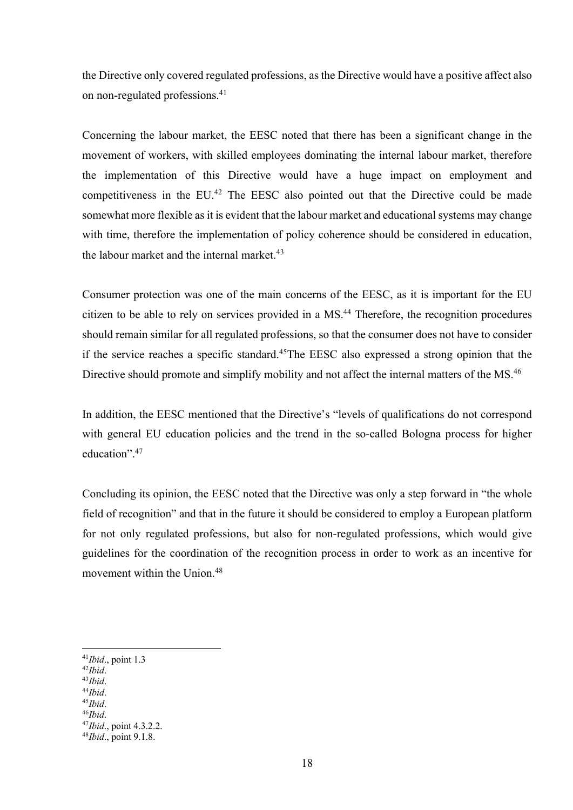the Directive only covered regulated professions, as the Directive would have a positive affect also on non-regulated professions.41

Concerning the labour market, the EESC noted that there has been a significant change in the movement of workers, with skilled employees dominating the internal labour market, therefore the implementation of this Directive would have a huge impact on employment and competitiveness in the EU.<sup>42</sup> The EESC also pointed out that the Directive could be made somewhat more flexible as it is evident that the labour market and educational systems may change with time, therefore the implementation of policy coherence should be considered in education, the labour market and the internal market.<sup>43</sup>

Consumer protection was one of the main concerns of the EESC, as it is important for the EU citizen to be able to rely on services provided in a MS. <sup>44</sup> Therefore, the recognition procedures should remain similar for all regulated professions, so that the consumer does not have to consider if the service reaches a specific standard.45The EESC also expressed a strong opinion that the Directive should promote and simplify mobility and not affect the internal matters of the MS.<sup>46</sup>

In addition, the EESC mentioned that the Directive's "levels of qualifications do not correspond with general EU education policies and the trend in the so-called Bologna process for higher education".47

Concluding its opinion, the EESC noted that the Directive was only a step forward in "the whole field of recognition" and that in the future it should be considered to employ a European platform for not only regulated professions, but also for non-regulated professions, which would give guidelines for the coordination of the recognition process in order to work as an incentive for movement within the Union.48

- <sup>42</sup>*Ibid*. <sup>43</sup>*Ibid*.
- <sup>44</sup>*Ibid*.
- <sup>45</sup>*Ibid*.
- 

<sup>41</sup>*Ibid*., point 1.3

<sup>&</sup>lt;sup>46</sup>*Ibid.* point 4.3.2.2.

<sup>47</sup>*Ibid*., point 4.3.2.2. 48*Ibid*., point 9.1.8.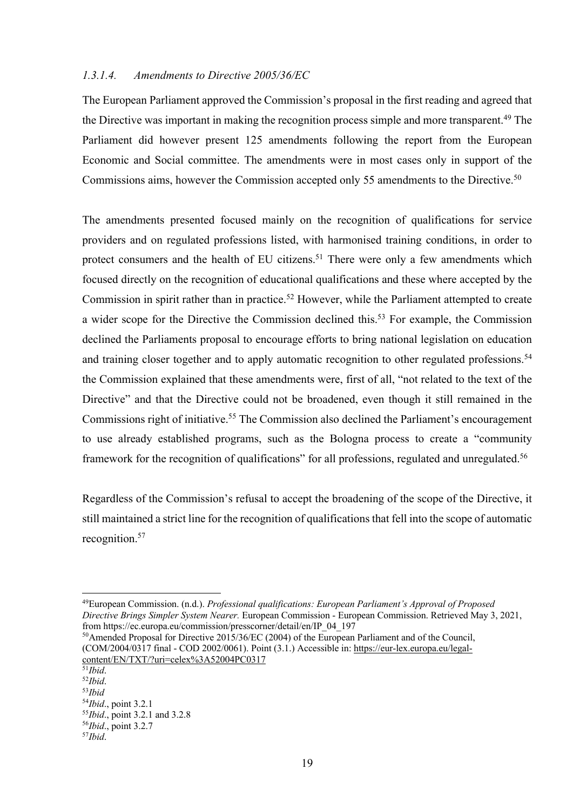#### *1.3.1.4. Amendments to Directive 2005/36/EC*

The European Parliament approved the Commission's proposal in the first reading and agreed that the Directive was important in making the recognition process simple and more transparent. <sup>49</sup> The Parliament did however present 125 amendments following the report from the European Economic and Social committee. The amendments were in most cases only in support of the Commissions aims, however the Commission accepted only 55 amendments to the Directive.<sup>50</sup>

The amendments presented focused mainly on the recognition of qualifications for service providers and on regulated professions listed, with harmonised training conditions, in order to protect consumers and the health of EU citizens.<sup>51</sup> There were only a few amendments which focused directly on the recognition of educational qualifications and these where accepted by the Commission in spirit rather than in practice.<sup>52</sup> However, while the Parliament attempted to create a wider scope for the Directive the Commission declined this.<sup>53</sup> For example, the Commission declined the Parliaments proposal to encourage efforts to bring national legislation on education and training closer together and to apply automatic recognition to other regulated professions.<sup>54</sup> the Commission explained that these amendments were, first of all, "not related to the text of the Directive" and that the Directive could not be broadened, even though it still remained in the Commissions right of initiative.<sup>55</sup> The Commission also declined the Parliament's encouragement to use already established programs, such as the Bologna process to create a "community framework for the recognition of qualifications" for all professions, regulated and unregulated.<sup>56</sup>

Regardless of the Commission's refusal to accept the broadening of the scope of the Directive, it still maintained a strict line for the recognition of qualifications that fell into the scope of automatic recognition. 57

50Amended Proposal for Directive 2015/36/EC (2004) of the European Parliament and of the Council, (COM/2004/0317 final - COD 2002/0061). Point (3.1.) Accessible in: https://eur-lex.europa.eu/legalcontent/EN/TXT/?uri=celex%3A52004PC0317

<sup>49</sup>European Commission. (n.d.). *Professional qualifications: European Parliament's Approval of Proposed Directive Brings Simpler System Nearer.* European Commission - European Commission. Retrieved May 3, 2021, from https://ec.europa.eu/commission/presscorner/detail/en/IP\_04\_197

<sup>51</sup>*Ibid*.

<sup>52</sup>*Ibid*.

<sup>&</sup>lt;sup>53</sup>*Ibid*<br><sup>54</sup>*Ibid.*, point 3.2.1

<sup>54</sup>*Ibid*., point 3.2.1 55*Ibid*., point 3.2.1 and 3.2.8 56*Ibid*., point 3.2.7 57*Ibid*.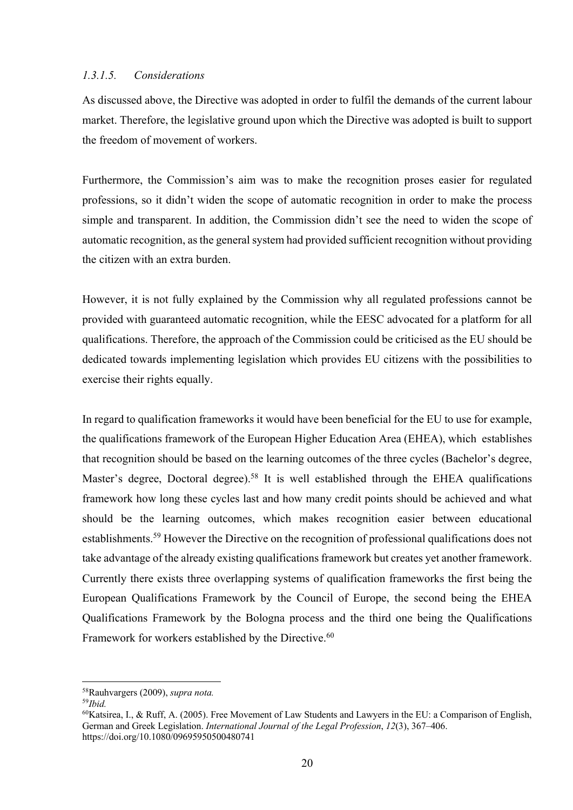### *1.3.1.5. Considerations*

As discussed above, the Directive was adopted in order to fulfil the demands of the current labour market. Therefore, the legislative ground upon which the Directive was adopted is built to support the freedom of movement of workers.

Furthermore, the Commission's aim was to make the recognition proses easier for regulated professions, so it didn't widen the scope of automatic recognition in order to make the process simple and transparent. In addition, the Commission didn't see the need to widen the scope of automatic recognition, as the general system had provided sufficient recognition without providing the citizen with an extra burden.

However, it is not fully explained by the Commission why all regulated professions cannot be provided with guaranteed automatic recognition, while the EESC advocated for a platform for all qualifications. Therefore, the approach of the Commission could be criticised as the EU should be dedicated towards implementing legislation which provides EU citizens with the possibilities to exercise their rights equally.

In regard to qualification frameworks it would have been beneficial for the EU to use for example, the qualifications framework of the European Higher Education Area (EHEA), which establishes that recognition should be based on the learning outcomes of the three cycles (Bachelor's degree, Master's degree, Doctoral degree).<sup>58</sup> It is well established through the EHEA qualifications framework how long these cycles last and how many credit points should be achieved and what should be the learning outcomes, which makes recognition easier between educational establishments.<sup>59</sup> However the Directive on the recognition of professional qualifications does not take advantage of the already existing qualifications framework but creates yet another framework. Currently there exists three overlapping systems of qualification frameworks the first being the European Qualifications Framework by the Council of Europe, the second being the EHEA Qualifications Framework by the Bologna process and the third one being the Qualifications Framework for workers established by the Directive.<sup>60</sup>

<sup>58</sup>Rauhvargers (2009), *supra nota.*

<sup>59</sup>*Ibid.*

 $^{60}$ Katsirea, I., & Ruff, A. (2005). Free Movement of Law Students and Lawyers in the EU: a Comparison of English, German and Greek Legislation. *International Journal of the Legal Profession*, *12*(3), 367–406. https://doi.org/10.1080/09695950500480741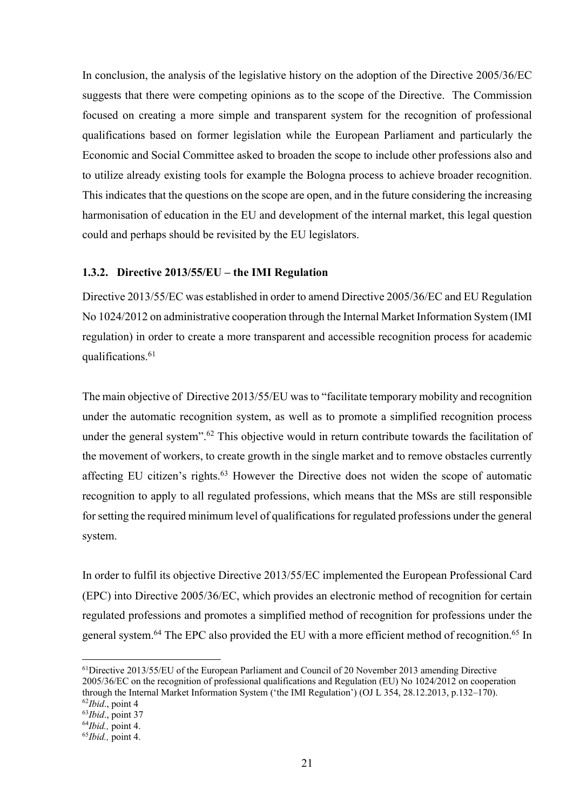In conclusion, the analysis of the legislative history on the adoption of the Directive 2005/36/EC suggests that there were competing opinions as to the scope of the Directive. The Commission focused on creating a more simple and transparent system for the recognition of professional qualifications based on former legislation while the European Parliament and particularly the Economic and Social Committee asked to broaden the scope to include other professions also and to utilize already existing tools for example the Bologna process to achieve broader recognition. This indicates that the questions on the scope are open, and in the future considering the increasing harmonisation of education in the EU and development of the internal market, this legal question could and perhaps should be revisited by the EU legislators.

### **1.3.2. Directive 2013/55/EU – the IMI Regulation**

Directive 2013/55/EC was established in order to amend Directive 2005/36/EC and EU Regulation No 1024/2012 on administrative cooperation through the Internal Market Information System (IMI regulation) in order to create a more transparent and accessible recognition process for academic qualifications.61

The main objective of Directive 2013/55/EU was to "facilitate temporary mobility and recognition under the automatic recognition system, as well as to promote a simplified recognition process under the general system".<sup>62</sup> This objective would in return contribute towards the facilitation of the movement of workers, to create growth in the single market and to remove obstacles currently affecting EU citizen's rights.<sup>63</sup> However the Directive does not widen the scope of automatic recognition to apply to all regulated professions, which means that the MSs are still responsible for setting the required minimum level of qualifications for regulated professions under the general system.

In order to fulfil its objective Directive 2013/55/EC implemented the European Professional Card (EPC) into Directive 2005/36/EC, which provides an electronic method of recognition for certain regulated professions and promotes a simplified method of recognition for professions under the general system.<sup>64</sup> The EPC also provided the EU with a more efficient method of recognition.<sup>65</sup> In

 $61$ Directive 2013/55/EU of the European Parliament and Council of 20 November 2013 amending Directive 2005/36/EC on the recognition of professional qualifications and Regulation (EU) No 1024/2012 on cooperation through the Internal Market Information System ('the IMI Regulation') (OJ L 354, 28.12.2013, p.132–170). <sup>62</sup>*Ibid*., point 4

<sup>63</sup>*Ibid*., point 37

<sup>64</sup>*Ibid.,* point 4.

<sup>65</sup>*Ibid.,* point 4.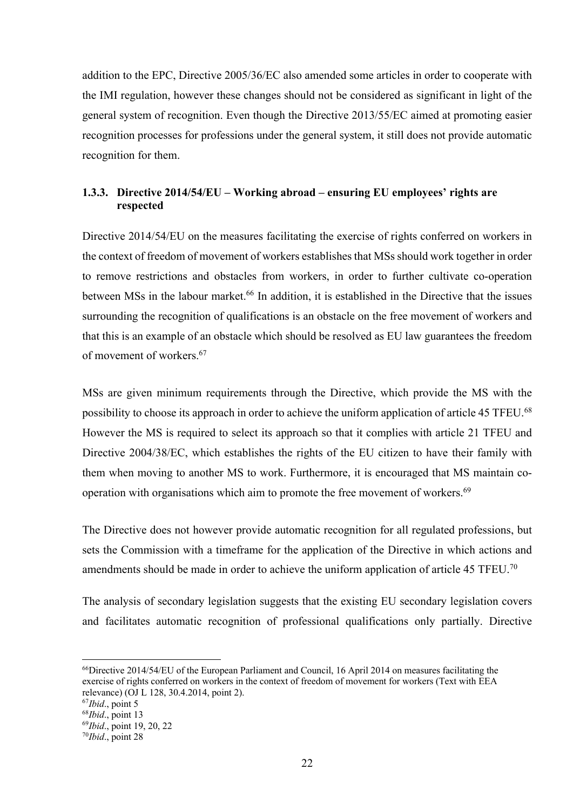addition to the EPC, Directive 2005/36/EC also amended some articles in order to cooperate with the IMI regulation, however these changes should not be considered as significant in light of the general system of recognition. Even though the Directive 2013/55/EC aimed at promoting easier recognition processes for professions under the general system, it still does not provide automatic recognition for them.

## **1.3.3. Directive 2014/54/EU – Working abroad – ensuring EU employees' rights are respected**

Directive 2014/54/EU on the measures facilitating the exercise of rights conferred on workers in the context of freedom of movement of workers establishes that MSs should work together in order to remove restrictions and obstacles from workers, in order to further cultivate co-operation between MSs in the labour market.<sup>66</sup> In addition, it is established in the Directive that the issues surrounding the recognition of qualifications is an obstacle on the free movement of workers and that this is an example of an obstacle which should be resolved as EU law guarantees the freedom of movement of workers.67

MSs are given minimum requirements through the Directive, which provide the MS with the possibility to choose its approach in order to achieve the uniform application of article 45 TFEU.<sup>68</sup> However the MS is required to select its approach so that it complies with article 21 TFEU and Directive 2004/38/EC, which establishes the rights of the EU citizen to have their family with them when moving to another MS to work. Furthermore, it is encouraged that MS maintain cooperation with organisations which aim to promote the free movement of workers.<sup>69</sup>

The Directive does not however provide automatic recognition for all regulated professions, but sets the Commission with a timeframe for the application of the Directive in which actions and amendments should be made in order to achieve the uniform application of article 45 TFEU.<sup>70</sup>

The analysis of secondary legislation suggests that the existing EU secondary legislation covers and facilitates automatic recognition of professional qualifications only partially. Directive

<sup>66</sup>Directive 2014/54/EU of the European Parliament and Council, 16 April 2014 on measures facilitating the exercise of rights conferred on workers in the context of freedom of movement for workers (Text with EEA relevance) (OJ L 128, 30.4.2014, point 2).

<sup>67</sup>*Ibid*., point 5

<sup>68</sup>*Ibid*., point 13

<sup>69</sup>*Ibid*., point 19, 20, 22

<sup>70</sup>*Ibid*., point 28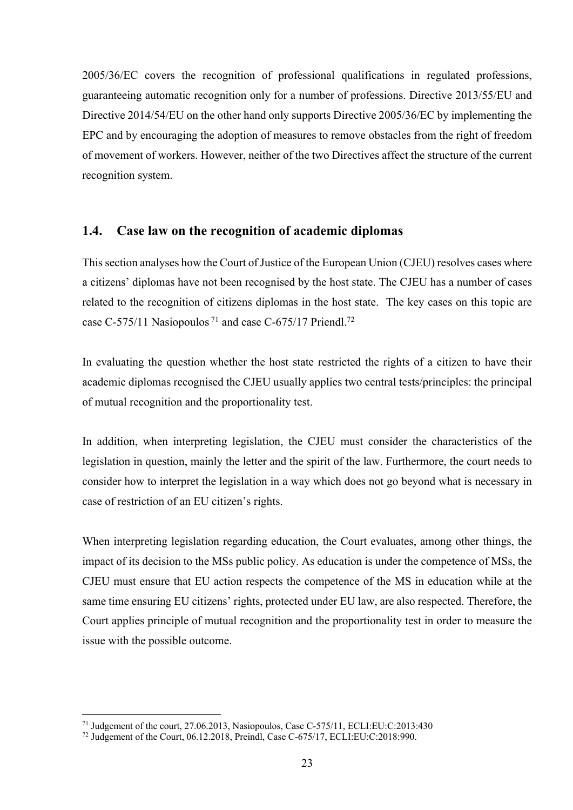2005/36/EC covers the recognition of professional qualifications in regulated professions, guaranteeing automatic recognition only for a number of professions. Directive 2013/55/EU and Directive 2014/54/EU on the other hand only supports Directive 2005/36/EC by implementing the EPC and by encouraging the adoption of measures to remove obstacles from the right of freedom of movement of workers. However, neither of the two Directives affect the structure of the current recognition system.

## **1.4. Case law on the recognition of academic diplomas**

This section analyses how the Court of Justice of the European Union (CJEU) resolves cases where a citizens' diplomas have not been recognised by the host state. The CJEU has a number of cases related to the recognition of citizens diplomas in the host state. The key cases on this topic are case C-575/11 Nasiopoulos<sup>71</sup> and case C-675/17 Priendl.<sup>72</sup>

In evaluating the question whether the host state restricted the rights of a citizen to have their academic diplomas recognised the CJEU usually applies two central tests/principles: the principal of mutual recognition and the proportionality test.

In addition, when interpreting legislation, the CJEU must consider the characteristics of the legislation in question, mainly the letter and the spirit of the law. Furthermore, the court needs to consider how to interpret the legislation in a way which does not go beyond what is necessary in case of restriction of an EU citizen's rights.

When interpreting legislation regarding education, the Court evaluates, among other things, the impact of its decision to the MSs public policy. As education is under the competence of MSs, the CJEU must ensure that EU action respects the competence of the MS in education while at the same time ensuring EU citizens' rights, protected under EU law, are also respected. Therefore, the Court applies principle of mutual recognition and the proportionality test in order to measure the issue with the possible outcome.

<sup>71</sup> Judgement of the court, 27.06.2013, Nasiopoulos, Case C-575/11, ECLI:EU:C:2013:430

<sup>72</sup> Judgement of the Court, 06.12.2018, Preindl, Case C-675/17, ECLI:EU:C:2018:990.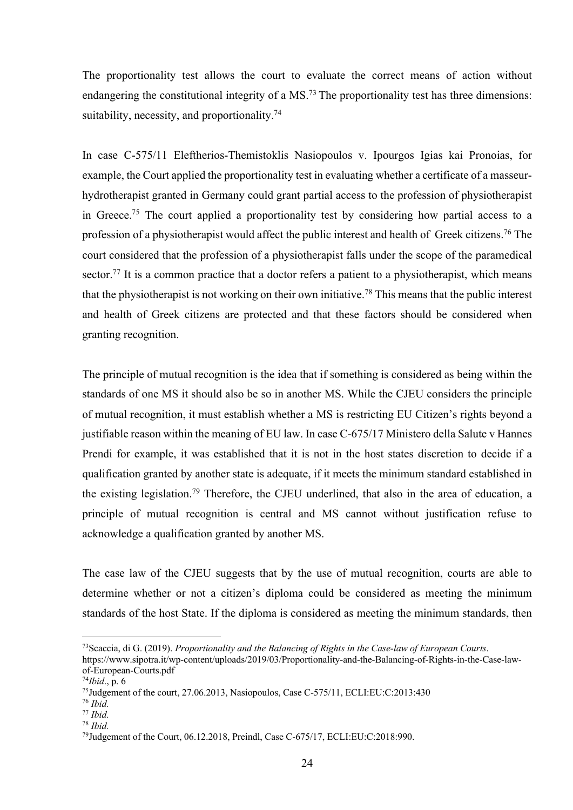The proportionality test allows the court to evaluate the correct means of action without endangering the constitutional integrity of a MS.<sup>73</sup> The proportionality test has three dimensions: suitability, necessity, and proportionality.<sup>74</sup>

In case C-575/11 Eleftherios-Themistoklis Nasiopoulos v. Ipourgos Igias kai Pronoias, for example, the Court applied the proportionality test in evaluating whether a certificate of a masseurhydrotherapist granted in Germany could grant partial access to the profession of physiotherapist in Greece.75 The court applied a proportionality test by considering how partial access to a profession of a physiotherapist would affect the public interest and health of Greek citizens.<sup>76</sup> The court considered that the profession of a physiotherapist falls under the scope of the paramedical sector.<sup>77</sup> It is a common practice that a doctor refers a patient to a physiotherapist, which means that the physiotherapist is not working on their own initiative. <sup>78</sup> This means that the public interest and health of Greek citizens are protected and that these factors should be considered when granting recognition.

The principle of mutual recognition is the idea that if something is considered as being within the standards of one MS it should also be so in another MS. While the CJEU considers the principle of mutual recognition, it must establish whether a MS is restricting EU Citizen's rights beyond a justifiable reason within the meaning of EU law. In case C-675/17 Ministero della Salute v Hannes Prendi for example, it was established that it is not in the host states discretion to decide if a qualification granted by another state is adequate, if it meets the minimum standard established in the existing legislation.79 Therefore, the CJEU underlined, that also in the area of education, a principle of mutual recognition is central and MS cannot without justification refuse to acknowledge a qualification granted by another MS.

The case law of the CJEU suggests that by the use of mutual recognition, courts are able to determine whether or not a citizen's diploma could be considered as meeting the minimum standards of the host State. If the diploma is considered as meeting the minimum standards, then

https://www.sipotra.it/wp-content/uploads/2019/03/Proportionality-and-the-Balancing-of-Rights-in-the-Case-lawof-European-Courts.pdf

<sup>73</sup>Scaccia, di G. (2019). *Proportionality and the Balancing of Rights in the Case-law of European Courts*.

<sup>74</sup>*Ibid*., p. 6

<sup>75</sup>Judgement of the court, 27.06.2013, Nasiopoulos, Case C-575/11, ECLI:EU:C:2013:430

<sup>76</sup> *Ibid.*

<sup>77</sup> *Ibid.*

<sup>78</sup> *Ibid.*

<sup>79</sup>Judgement of the Court, 06.12.2018, Preindl, Case C-675/17, ECLI:EU:C:2018:990.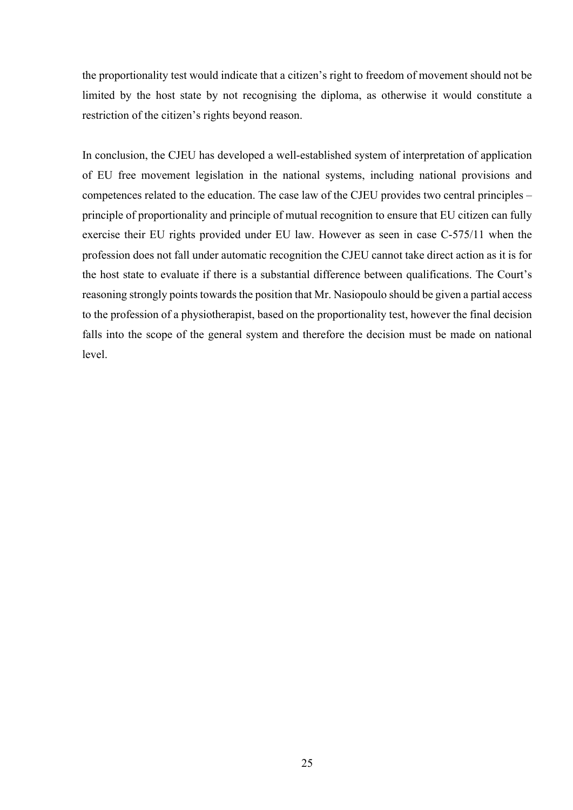the proportionality test would indicate that a citizen's right to freedom of movement should not be limited by the host state by not recognising the diploma, as otherwise it would constitute a restriction of the citizen's rights beyond reason.

In conclusion, the CJEU has developed a well-established system of interpretation of application of EU free movement legislation in the national systems, including national provisions and competences related to the education. The case law of the CJEU provides two central principles – principle of proportionality and principle of mutual recognition to ensure that EU citizen can fully exercise their EU rights provided under EU law. However as seen in case C-575/11 when the profession does not fall under automatic recognition the CJEU cannot take direct action as it is for the host state to evaluate if there is a substantial difference between qualifications. The Court's reasoning strongly points towards the position that Mr. Nasiopoulo should be given a partial access to the profession of a physiotherapist, based on the proportionality test, however the final decision falls into the scope of the general system and therefore the decision must be made on national level.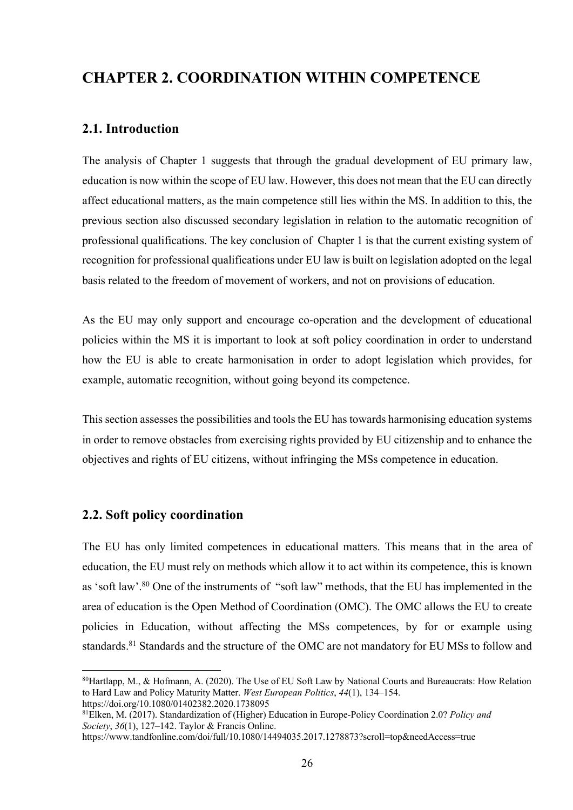## **CHAPTER 2. COORDINATION WITHIN COMPETENCE**

## **2.1. Introduction**

The analysis of Chapter 1 suggests that through the gradual development of EU primary law, education is now within the scope of EU law. However, this does not mean that the EU can directly affect educational matters, as the main competence still lies within the MS. In addition to this, the previous section also discussed secondary legislation in relation to the automatic recognition of professional qualifications. The key conclusion of Chapter 1 is that the current existing system of recognition for professional qualifications under EU law is built on legislation adopted on the legal basis related to the freedom of movement of workers, and not on provisions of education.

As the EU may only support and encourage co-operation and the development of educational policies within the MS it is important to look at soft policy coordination in order to understand how the EU is able to create harmonisation in order to adopt legislation which provides, for example, automatic recognition, without going beyond its competence.

This section assesses the possibilities and tools the EU has towards harmonising education systems in order to remove obstacles from exercising rights provided by EU citizenship and to enhance the objectives and rights of EU citizens, without infringing the MSs competence in education.

## **2.2. Soft policy coordination**

The EU has only limited competences in educational matters. This means that in the area of education, the EU must rely on methods which allow it to act within its competence, this is known as 'soft law'.<sup>80</sup> One of the instruments of "soft law" methods, that the EU has implemented in the area of education is the Open Method of Coordination (OMC). The OMC allows the EU to create policies in Education, without affecting the MSs competences, by for or example using standards.<sup>81</sup> Standards and the structure of the OMC are not mandatory for EU MSs to follow and

<sup>80</sup>Hartlapp, M., & Hofmann, A. (2020). The Use of EU Soft Law by National Courts and Bureaucrats: How Relation to Hard Law and Policy Maturity Matter. *West European Politics*, *44*(1), 134–154. https://doi.org/10.1080/01402382.2020.1738095

<sup>81</sup>Elken, M. (2017). Standardization of (Higher) Education in Europe-Policy Coordination 2.0? *Policy and Society*, *36*(1), 127–142. Taylor & Francis Online.

https://www.tandfonline.com/doi/full/10.1080/14494035.2017.1278873?scroll=top&needAccess=true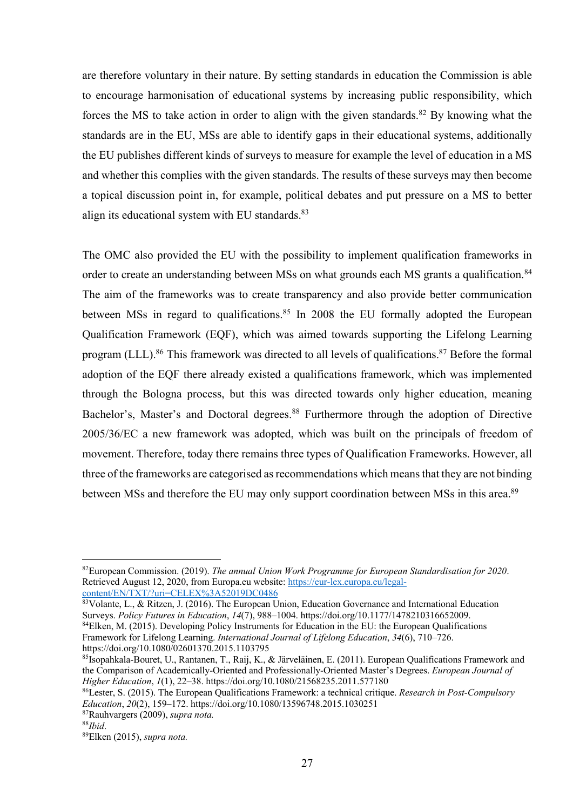are therefore voluntary in their nature. By setting standards in education the Commission is able to encourage harmonisation of educational systems by increasing public responsibility, which forces the MS to take action in order to align with the given standards.<sup>82</sup> By knowing what the standards are in the EU, MSs are able to identify gaps in their educational systems, additionally the EU publishes different kinds of surveys to measure for example the level of education in a MS and whether this complies with the given standards. The results of these surveys may then become a topical discussion point in, for example, political debates and put pressure on a MS to better align its educational system with EU standards.<sup>83</sup>

The OMC also provided the EU with the possibility to implement qualification frameworks in order to create an understanding between MSs on what grounds each MS grants a qualification.<sup>84</sup> The aim of the frameworks was to create transparency and also provide better communication between MSs in regard to qualifications.<sup>85</sup> In 2008 the EU formally adopted the European Qualification Framework (EQF), which was aimed towards supporting the Lifelong Learning program (LLL).<sup>86</sup> This framework was directed to all levels of qualifications.<sup>87</sup> Before the formal adoption of the EQF there already existed a qualifications framework, which was implemented through the Bologna process, but this was directed towards only higher education, meaning Bachelor's, Master's and Doctoral degrees.<sup>88</sup> Furthermore through the adoption of Directive 2005/36/EC a new framework was adopted, which was built on the principals of freedom of movement. Therefore, today there remains three types of Qualification Frameworks. However, all three of the frameworks are categorised as recommendations which means that they are not binding between MSs and therefore the EU may only support coordination between MSs in this area.<sup>89</sup>

<sup>82</sup>European Commission. (2019). *The annual Union Work Programme for European Standardisation for 2020*. Retrieved August 12, 2020, from Europa.eu website: https://eur-lex.europa.eu/legalcontent/EN/TXT/?uri=CELEX%3A52019DC0486

<sup>83</sup>Volante, L., & Ritzen, J. (2016). The European Union, Education Governance and International Education Surveys. *Policy Futures in Education*, *14*(7), 988–1004. https://doi.org/10.1177/1478210316652009.

<sup>84</sup>Elken, M. (2015). Developing Policy Instruments for Education in the EU: the European Qualifications Framework for Lifelong Learning. *International Journal of Lifelong Education*, *34*(6), 710–726. https://doi.org/10.1080/02601370.2015.1103795

<sup>85</sup>Isopahkala-Bouret, U., Rantanen, T., Raij, K., & Järveläinen, E. (2011). European Qualifications Framework and the Comparison of Academically-Oriented and Professionally-Oriented Master's Degrees. *European Journal of Higher Education*, *1*(1), 22–38. https://doi.org/10.1080/21568235.2011.577180

<sup>86</sup>Lester, S. (2015). The European Qualifications Framework: a technical critique. *Research in Post-Compulsory Education*, *20*(2), 159–172. https://doi.org/10.1080/13596748.2015.1030251

<sup>87</sup>Rauhvargers (2009), *supra nota.*

<sup>88</sup>*Ibid*.

<sup>89</sup>Elken (2015), *supra nota.*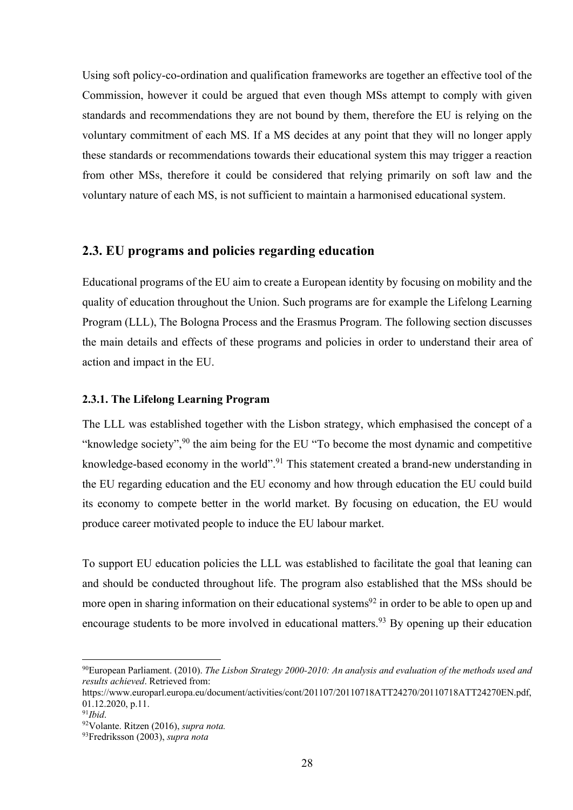Using soft policy-co-ordination and qualification frameworks are together an effective tool of the Commission, however it could be argued that even though MSs attempt to comply with given standards and recommendations they are not bound by them, therefore the EU is relying on the voluntary commitment of each MS. If a MS decides at any point that they will no longer apply these standards or recommendations towards their educational system this may trigger a reaction from other MSs, therefore it could be considered that relying primarily on soft law and the voluntary nature of each MS, is not sufficient to maintain a harmonised educational system.

## **2.3. EU programs and policies regarding education**

Educational programs of the EU aim to create a European identity by focusing on mobility and the quality of education throughout the Union. Such programs are for example the Lifelong Learning Program (LLL), The Bologna Process and the Erasmus Program. The following section discusses the main details and effects of these programs and policies in order to understand their area of action and impact in the EU.

#### **2.3.1. The Lifelong Learning Program**

The LLL was established together with the Lisbon strategy, which emphasised the concept of a "knowledge society",<sup>90</sup> the aim being for the EU "To become the most dynamic and competitive knowledge-based economy in the world".<sup>91</sup> This statement created a brand-new understanding in the EU regarding education and the EU economy and how through education the EU could build its economy to compete better in the world market. By focusing on education, the EU would produce career motivated people to induce the EU labour market.

To support EU education policies the LLL was established to facilitate the goal that leaning can and should be conducted throughout life. The program also established that the MSs should be more open in sharing information on their educational systems<sup>92</sup> in order to be able to open up and encourage students to be more involved in educational matters.<sup>93</sup> By opening up their education

<sup>90</sup>European Parliament. (2010). *The Lisbon Strategy 2000-2010: An analysis and evaluation of the methods used and results achieved*. Retrieved from:

https://www.europarl.europa.eu/document/activities/cont/201107/20110718ATT24270/20110718ATT24270EN.pdf, 01.12.2020, p.11.

<sup>91</sup>*Ibid*.

<sup>92</sup>Volante. Ritzen (2016), *supra nota.*

<sup>93</sup>Fredriksson (2003), *supra nota*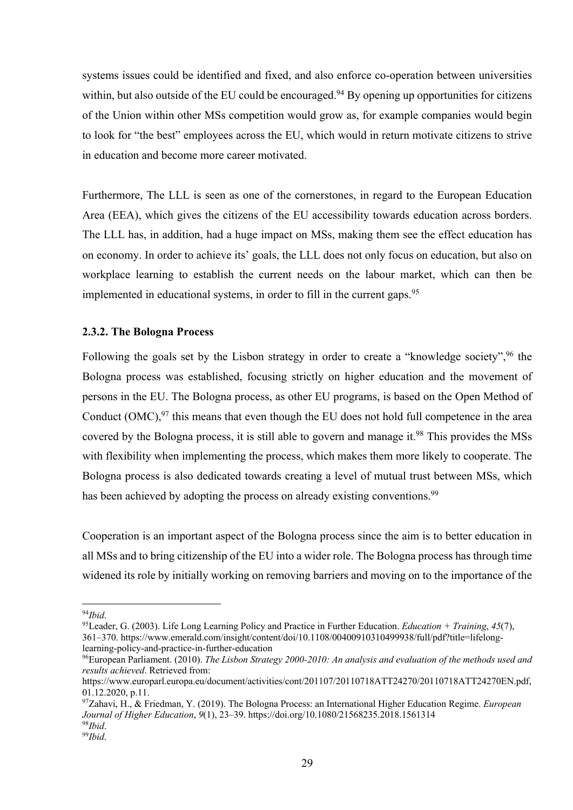systems issues could be identified and fixed, and also enforce co-operation between universities within, but also outside of the EU could be encouraged.<sup>94</sup> By opening up opportunities for citizens of the Union within other MSs competition would grow as, for example companies would begin to look for "the best" employees across the EU, which would in return motivate citizens to strive in education and become more career motivated.

Furthermore, The LLL is seen as one of the cornerstones, in regard to the European Education Area (EEA), which gives the citizens of the EU accessibility towards education across borders. The LLL has, in addition, had a huge impact on MSs, making them see the effect education has on economy. In order to achieve its' goals, the LLL does not only focus on education, but also on workplace learning to establish the current needs on the labour market, which can then be implemented in educational systems, in order to fill in the current gaps.<sup>95</sup>

### **2.3.2. The Bologna Process**

Following the goals set by the Lisbon strategy in order to create a "knowledge society",<sup>96</sup> the Bologna process was established, focusing strictly on higher education and the movement of persons in the EU. The Bologna process, as other EU programs, is based on the Open Method of Conduct  $(OMC)<sup>97</sup>$  this means that even though the EU does not hold full competence in the area covered by the Bologna process, it is still able to govern and manage it.<sup>98</sup> This provides the MSs with flexibility when implementing the process, which makes them more likely to cooperate. The Bologna process is also dedicated towards creating a level of mutual trust between MSs, which has been achieved by adopting the process on already existing conventions.<sup>99</sup>

Cooperation is an important aspect of the Bologna process since the aim is to better education in all MSs and to bring citizenship of the EU into a wider role. The Bologna process has through time widened its role by initially working on removing barriers and moving on to the importance of the

<sup>94</sup>*Ibid*.

<sup>95</sup>Leader, G. (2003). Life Long Learning Policy and Practice in Further Education. *Education + Training*, *45*(7), 361–370. https://www.emerald.com/insight/content/doi/10.1108/00400910310499938/full/pdf?title=lifelonglearning-policy-and-practice-in-further-education

<sup>96</sup>European Parliament. (2010). *The Lisbon Strategy 2000-2010: An analysis and evaluation of the methods used and results achieved*. Retrieved from:

https://www.europarl.europa.eu/document/activities/cont/201107/20110718ATT24270/20110718ATT24270EN.pdf, 01.12.2020, p.11.

<sup>97</sup>Zahavi, H., & Friedman, Y. (2019). The Bologna Process: an International Higher Education Regime. *European Journal of Higher Education*, *9*(1), 23–39. https://doi.org/10.1080/21568235.2018.1561314 <sup>98</sup>*Ibid*.

<sup>99</sup>*Ibid*.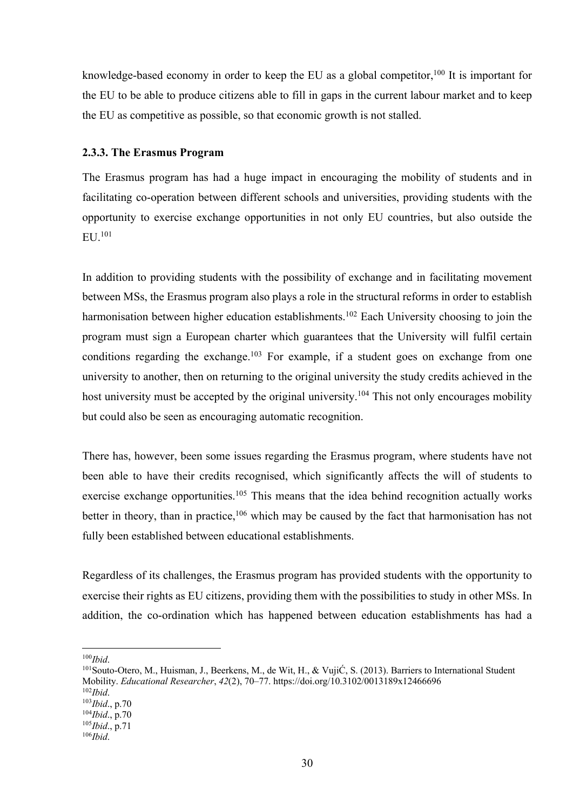knowledge-based economy in order to keep the EU as a global competitor,  $100$  It is important for the EU to be able to produce citizens able to fill in gaps in the current labour market and to keep the EU as competitive as possible, so that economic growth is not stalled.

#### **2.3.3. The Erasmus Program**

The Erasmus program has had a huge impact in encouraging the mobility of students and in facilitating co-operation between different schools and universities, providing students with the opportunity to exercise exchange opportunities in not only EU countries, but also outside the EU. 101

In addition to providing students with the possibility of exchange and in facilitating movement between MSs, the Erasmus program also plays a role in the structural reforms in order to establish harmonisation between higher education establishments.<sup>102</sup> Each University choosing to join the program must sign a European charter which guarantees that the University will fulfil certain conditions regarding the exchange.<sup>103</sup> For example, if a student goes on exchange from one university to another, then on returning to the original university the study credits achieved in the host university must be accepted by the original university.<sup>104</sup> This not only encourages mobility but could also be seen as encouraging automatic recognition.

There has, however, been some issues regarding the Erasmus program, where students have not been able to have their credits recognised, which significantly affects the will of students to exercise exchange opportunities.<sup>105</sup> This means that the idea behind recognition actually works better in theory, than in practice,<sup>106</sup> which may be caused by the fact that harmonisation has not fully been established between educational establishments.

Regardless of its challenges, the Erasmus program has provided students with the opportunity to exercise their rights as EU citizens, providing them with the possibilities to study in other MSs. In addition, the co-ordination which has happened between education establishments has had a

<sup>100</sup>*Ibid*.

<sup>101</sup>Souto-Otero, M., Huisman, J., Beerkens, M., de Wit, H., & VujiĆ, S. (2013). Barriers to International Student Mobility. *Educational Researcher*, *42*(2), 70–77. https://doi.org/10.3102/0013189x12466696 <sup>102</sup>*Ibid*.

<sup>103</sup>*Ibid*., p.70

<sup>104</sup>*Ibid*., p.70

<sup>105</sup>*Ibid*., p.71

<sup>106</sup>*Ibid*.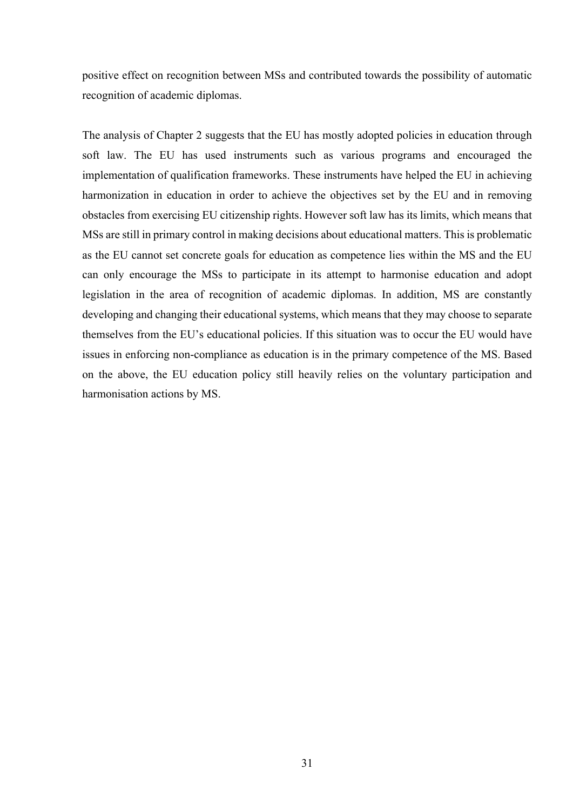positive effect on recognition between MSs and contributed towards the possibility of automatic recognition of academic diplomas.

The analysis of Chapter 2 suggests that the EU has mostly adopted policies in education through soft law. The EU has used instruments such as various programs and encouraged the implementation of qualification frameworks. These instruments have helped the EU in achieving harmonization in education in order to achieve the objectives set by the EU and in removing obstacles from exercising EU citizenship rights. However soft law has its limits, which means that MSs are still in primary control in making decisions about educational matters. This is problematic as the EU cannot set concrete goals for education as competence lies within the MS and the EU can only encourage the MSs to participate in its attempt to harmonise education and adopt legislation in the area of recognition of academic diplomas. In addition, MS are constantly developing and changing their educational systems, which means that they may choose to separate themselves from the EU's educational policies. If this situation was to occur the EU would have issues in enforcing non-compliance as education is in the primary competence of the MS. Based on the above, the EU education policy still heavily relies on the voluntary participation and harmonisation actions by MS.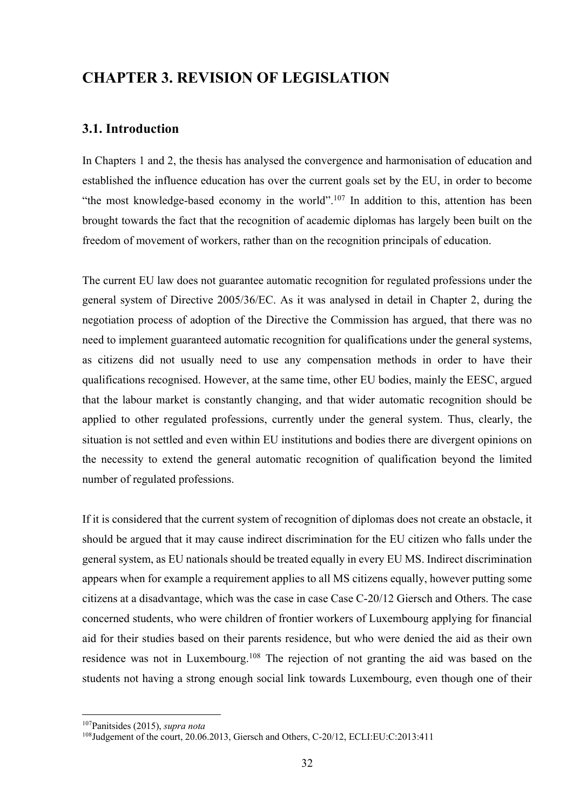## **CHAPTER 3. REVISION OF LEGISLATION**

## **3.1. Introduction**

In Chapters 1 and 2, the thesis has analysed the convergence and harmonisation of education and established the influence education has over the current goals set by the EU, in order to become "the most knowledge-based economy in the world".107 In addition to this, attention has been brought towards the fact that the recognition of academic diplomas has largely been built on the freedom of movement of workers, rather than on the recognition principals of education.

The current EU law does not guarantee automatic recognition for regulated professions under the general system of Directive 2005/36/EC. As it was analysed in detail in Chapter 2, during the negotiation process of adoption of the Directive the Commission has argued, that there was no need to implement guaranteed automatic recognition for qualifications under the general systems, as citizens did not usually need to use any compensation methods in order to have their qualifications recognised. However, at the same time, other EU bodies, mainly the EESC, argued that the labour market is constantly changing, and that wider automatic recognition should be applied to other regulated professions, currently under the general system. Thus, clearly, the situation is not settled and even within EU institutions and bodies there are divergent opinions on the necessity to extend the general automatic recognition of qualification beyond the limited number of regulated professions.

If it is considered that the current system of recognition of diplomas does not create an obstacle, it should be argued that it may cause indirect discrimination for the EU citizen who falls under the general system, as EU nationals should be treated equally in every EU MS. Indirect discrimination appears when for example a requirement applies to all MS citizens equally, however putting some citizens at a disadvantage, which was the case in case Case C-20/12 Giersch and Others. The case concerned students, who were children of frontier workers of Luxembourg applying for financial aid for their studies based on their parents residence, but who were denied the aid as their own residence was not in Luxembourg.<sup>108</sup> The rejection of not granting the aid was based on the students not having a strong enough social link towards Luxembourg, even though one of their

<sup>107</sup>Panitsides (2015), *supra nota*

<sup>108</sup>Judgement of the court, 20.06.2013, Giersch and Others, C-20/12, ECLI:EU:C:2013:411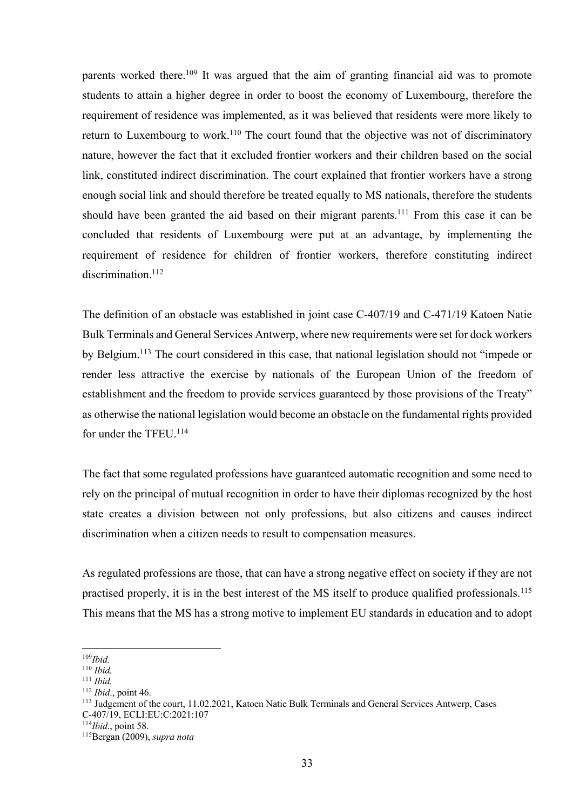parents worked there.<sup>109</sup> It was argued that the aim of granting financial aid was to promote students to attain a higher degree in order to boost the economy of Luxembourg, therefore the requirement of residence was implemented, as it was believed that residents were more likely to return to Luxembourg to work.<sup>110</sup> The court found that the objective was not of discriminatory nature, however the fact that it excluded frontier workers and their children based on the social link, constituted indirect discrimination. The court explained that frontier workers have a strong enough social link and should therefore be treated equally to MS nationals, therefore the students should have been granted the aid based on their migrant parents.<sup>111</sup> From this case it can be concluded that residents of Luxembourg were put at an advantage, by implementing the requirement of residence for children of frontier workers, therefore constituting indirect discrimination.<sup>112</sup>

The definition of an obstacle was established in joint case C-407/19 and C-471/19 Katoen Natie Bulk Terminals and General Services Antwerp, where new requirements were set for dock workers by Belgium.113 The court considered in this case, that national legislation should not "impede or render less attractive the exercise by nationals of the European Union of the freedom of establishment and the freedom to provide services guaranteed by those provisions of the Treaty" as otherwise the national legislation would become an obstacle on the fundamental rights provided for under the TFEU. 114

The fact that some regulated professions have guaranteed automatic recognition and some need to rely on the principal of mutual recognition in order to have their diplomas recognized by the host state creates a division between not only professions, but also citizens and causes indirect discrimination when a citizen needs to result to compensation measures.

As regulated professions are those, that can have a strong negative effect on society if they are not practised properly, it is in the best interest of the MS itself to produce qualified professionals.<sup>115</sup> This means that the MS has a strong motive to implement EU standards in education and to adopt

<sup>109</sup>*Ibid.*

<sup>110</sup> *Ibid.*

<sup>111</sup> *Ibid.*

<sup>112</sup> *Ibid*., point 46.

<sup>113</sup> Judgement of the court, 11.02.2021, Katoen Natie Bulk Terminals and General Services Antwerp, Cases C-407/19, ECLI:EU:C:2021:107

<sup>114</sup>*Ibid*., point 58.

<sup>115</sup>Bergan (2009), *supra nota*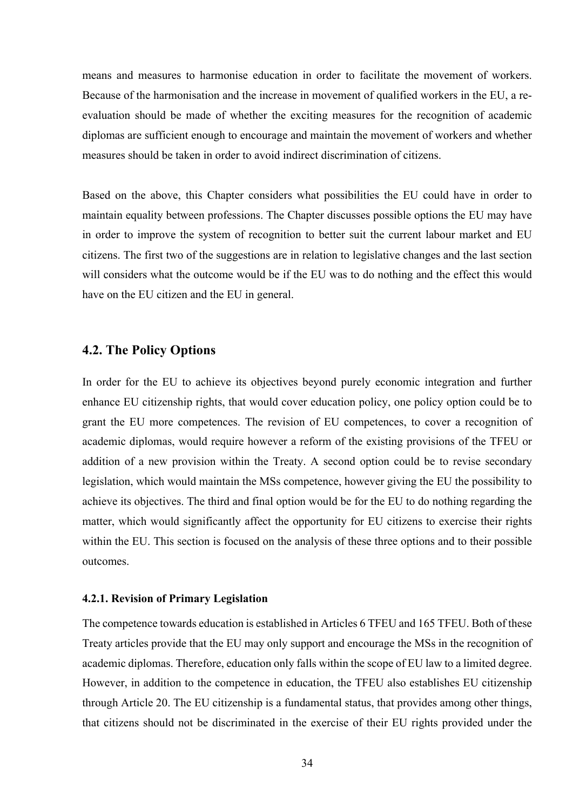means and measures to harmonise education in order to facilitate the movement of workers. Because of the harmonisation and the increase in movement of qualified workers in the EU, a reevaluation should be made of whether the exciting measures for the recognition of academic diplomas are sufficient enough to encourage and maintain the movement of workers and whether measures should be taken in order to avoid indirect discrimination of citizens.

Based on the above, this Chapter considers what possibilities the EU could have in order to maintain equality between professions. The Chapter discusses possible options the EU may have in order to improve the system of recognition to better suit the current labour market and EU citizens. The first two of the suggestions are in relation to legislative changes and the last section will considers what the outcome would be if the EU was to do nothing and the effect this would have on the EU citizen and the EU in general.

## **4.2. The Policy Options**

In order for the EU to achieve its objectives beyond purely economic integration and further enhance EU citizenship rights, that would cover education policy, one policy option could be to grant the EU more competences. The revision of EU competences, to cover a recognition of academic diplomas, would require however a reform of the existing provisions of the TFEU or addition of a new provision within the Treaty. A second option could be to revise secondary legislation, which would maintain the MSs competence, however giving the EU the possibility to achieve its objectives. The third and final option would be for the EU to do nothing regarding the matter, which would significantly affect the opportunity for EU citizens to exercise their rights within the EU. This section is focused on the analysis of these three options and to their possible outcomes.

#### **4.2.1. Revision of Primary Legislation**

The competence towards education is established in Articles 6 TFEU and 165 TFEU. Both of these Treaty articles provide that the EU may only support and encourage the MSs in the recognition of academic diplomas. Therefore, education only falls within the scope of EU law to a limited degree. However, in addition to the competence in education, the TFEU also establishes EU citizenship through Article 20. The EU citizenship is a fundamental status, that provides among other things, that citizens should not be discriminated in the exercise of their EU rights provided under the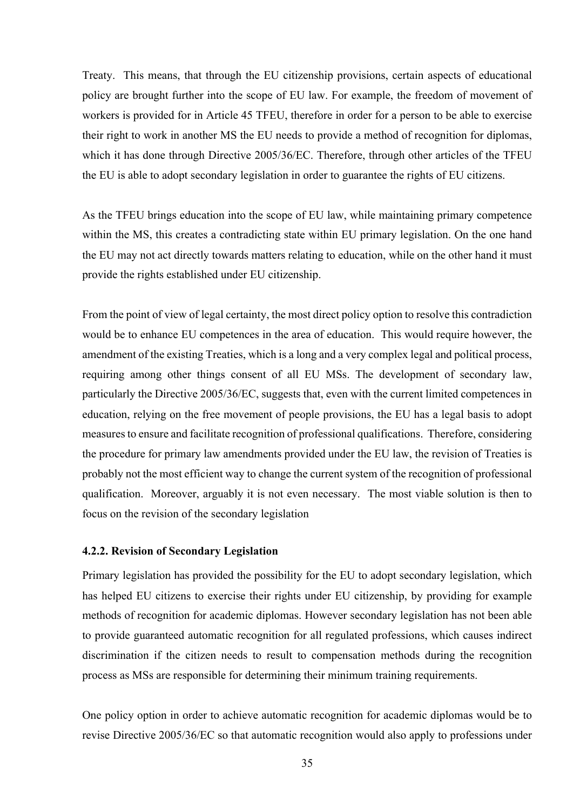Treaty. This means, that through the EU citizenship provisions, certain aspects of educational policy are brought further into the scope of EU law. For example, the freedom of movement of workers is provided for in Article 45 TFEU, therefore in order for a person to be able to exercise their right to work in another MS the EU needs to provide a method of recognition for diplomas, which it has done through Directive 2005/36/EC. Therefore, through other articles of the TFEU the EU is able to adopt secondary legislation in order to guarantee the rights of EU citizens.

As the TFEU brings education into the scope of EU law, while maintaining primary competence within the MS, this creates a contradicting state within EU primary legislation. On the one hand the EU may not act directly towards matters relating to education, while on the other hand it must provide the rights established under EU citizenship.

From the point of view of legal certainty, the most direct policy option to resolve this contradiction would be to enhance EU competences in the area of education. This would require however, the amendment of the existing Treaties, which is a long and a very complex legal and political process, requiring among other things consent of all EU MSs. The development of secondary law, particularly the Directive 2005/36/EC, suggests that, even with the current limited competences in education, relying on the free movement of people provisions, the EU has a legal basis to adopt measures to ensure and facilitate recognition of professional qualifications. Therefore, considering the procedure for primary law amendments provided under the EU law, the revision of Treaties is probably not the most efficient way to change the current system of the recognition of professional qualification. Moreover, arguably it is not even necessary. The most viable solution is then to focus on the revision of the secondary legislation

#### **4.2.2. Revision of Secondary Legislation**

Primary legislation has provided the possibility for the EU to adopt secondary legislation, which has helped EU citizens to exercise their rights under EU citizenship, by providing for example methods of recognition for academic diplomas. However secondary legislation has not been able to provide guaranteed automatic recognition for all regulated professions, which causes indirect discrimination if the citizen needs to result to compensation methods during the recognition process as MSs are responsible for determining their minimum training requirements.

One policy option in order to achieve automatic recognition for academic diplomas would be to revise Directive 2005/36/EC so that automatic recognition would also apply to professions under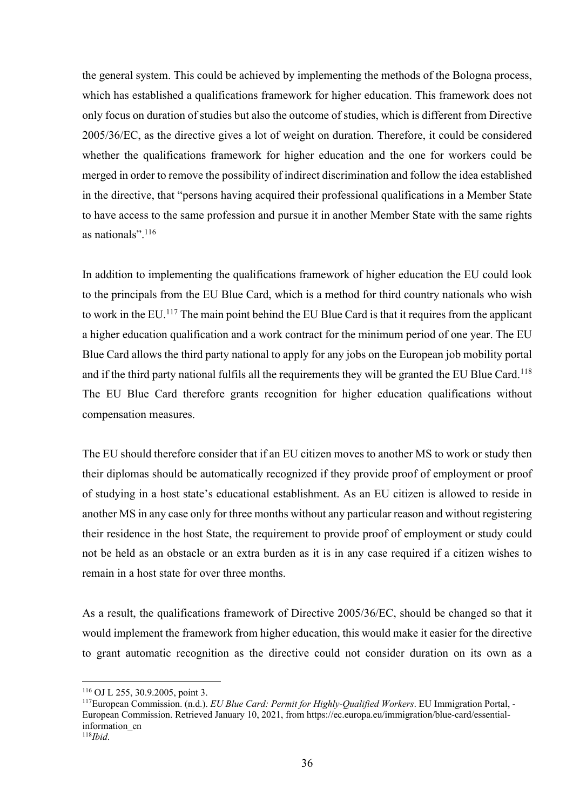the general system. This could be achieved by implementing the methods of the Bologna process, which has established a qualifications framework for higher education. This framework does not only focus on duration of studies but also the outcome of studies, which is different from Directive 2005/36/EC, as the directive gives a lot of weight on duration. Therefore, it could be considered whether the qualifications framework for higher education and the one for workers could be merged in order to remove the possibility of indirect discrimination and follow the idea established in the directive, that "persons having acquired their professional qualifications in a Member State to have access to the same profession and pursue it in another Member State with the same rights as nationals".116

In addition to implementing the qualifications framework of higher education the EU could look to the principals from the EU Blue Card, which is a method for third country nationals who wish to work in the EU.117 The main point behind the EU Blue Card is that it requires from the applicant a higher education qualification and a work contract for the minimum period of one year. The EU Blue Card allows the third party national to apply for any jobs on the European job mobility portal and if the third party national fulfils all the requirements they will be granted the EU Blue Card.<sup>118</sup> The EU Blue Card therefore grants recognition for higher education qualifications without compensation measures.

The EU should therefore consider that if an EU citizen moves to another MS to work or study then their diplomas should be automatically recognized if they provide proof of employment or proof of studying in a host state's educational establishment. As an EU citizen is allowed to reside in another MS in any case only for three months without any particular reason and without registering their residence in the host State, the requirement to provide proof of employment or study could not be held as an obstacle or an extra burden as it is in any case required if a citizen wishes to remain in a host state for over three months.

As a result, the qualifications framework of Directive 2005/36/EC, should be changed so that it would implement the framework from higher education, this would make it easier for the directive to grant automatic recognition as the directive could not consider duration on its own as a

<sup>116</sup> OJ L 255, 30.9.2005, point 3.

<sup>117</sup>European Commission. (n.d.). *EU Blue Card: Permit for Highly-Qualified Workers*. EU Immigration Portal, - European Commission. Retrieved January 10, 2021, from https://ec.europa.eu/immigration/blue-card/essentialinformation\_en 118*Ibid*.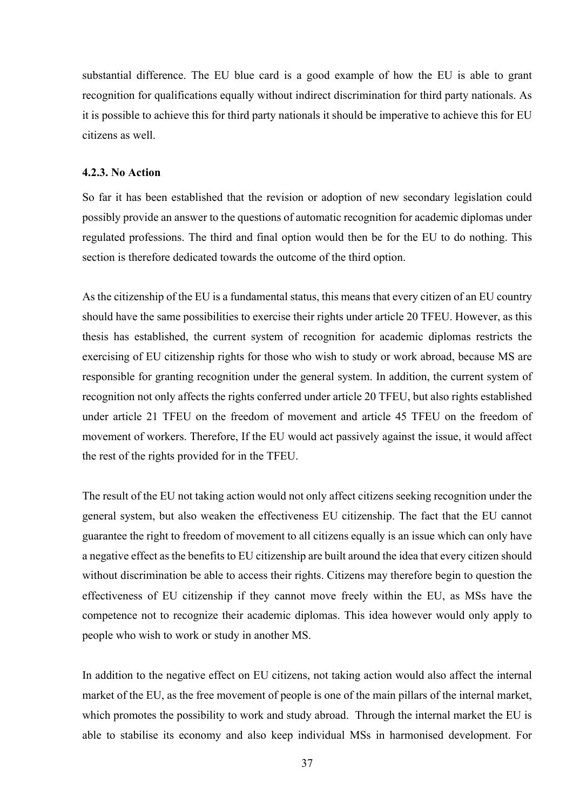substantial difference. The EU blue card is a good example of how the EU is able to grant recognition for qualifications equally without indirect discrimination for third party nationals. As it is possible to achieve this for third party nationals it should be imperative to achieve this for EU citizens as well.

#### **4.2.3. No Action**

So far it has been established that the revision or adoption of new secondary legislation could possibly provide an answer to the questions of automatic recognition for academic diplomas under regulated professions. The third and final option would then be for the EU to do nothing. This section is therefore dedicated towards the outcome of the third option.

As the citizenship of the EU is a fundamental status, this means that every citizen of an EU country should have the same possibilities to exercise their rights under article 20 TFEU. However, as this thesis has established, the current system of recognition for academic diplomas restricts the exercising of EU citizenship rights for those who wish to study or work abroad, because MS are responsible for granting recognition under the general system. In addition, the current system of recognition not only affects the rights conferred under article 20 TFEU, but also rights established under article 21 TFEU on the freedom of movement and article 45 TFEU on the freedom of movement of workers. Therefore, If the EU would act passively against the issue, it would affect the rest of the rights provided for in the TFEU.

The result of the EU not taking action would not only affect citizens seeking recognition under the general system, but also weaken the effectiveness EU citizenship. The fact that the EU cannot guarantee the right to freedom of movement to all citizens equally is an issue which can only have a negative effect as the benefits to EU citizenship are built around the idea that every citizen should without discrimination be able to access their rights. Citizens may therefore begin to question the effectiveness of EU citizenship if they cannot move freely within the EU, as MSs have the competence not to recognize their academic diplomas. This idea however would only apply to people who wish to work or study in another MS.

In addition to the negative effect on EU citizens, not taking action would also affect the internal market of the EU, as the free movement of people is one of the main pillars of the internal market, which promotes the possibility to work and study abroad. Through the internal market the EU is able to stabilise its economy and also keep individual MSs in harmonised development. For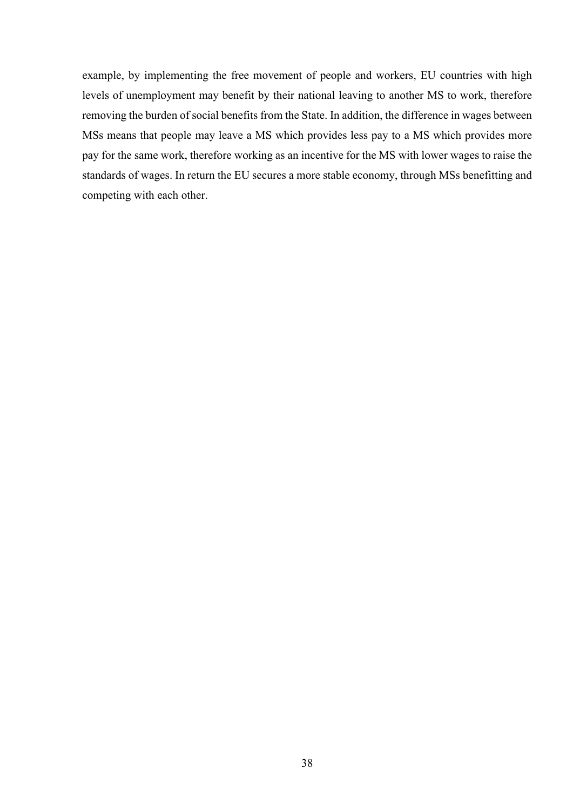example, by implementing the free movement of people and workers, EU countries with high levels of unemployment may benefit by their national leaving to another MS to work, therefore removing the burden of social benefits from the State. In addition, the difference in wages between MSs means that people may leave a MS which provides less pay to a MS which provides more pay for the same work, therefore working as an incentive for the MS with lower wages to raise the standards of wages. In return the EU secures a more stable economy, through MSs benefitting and competing with each other.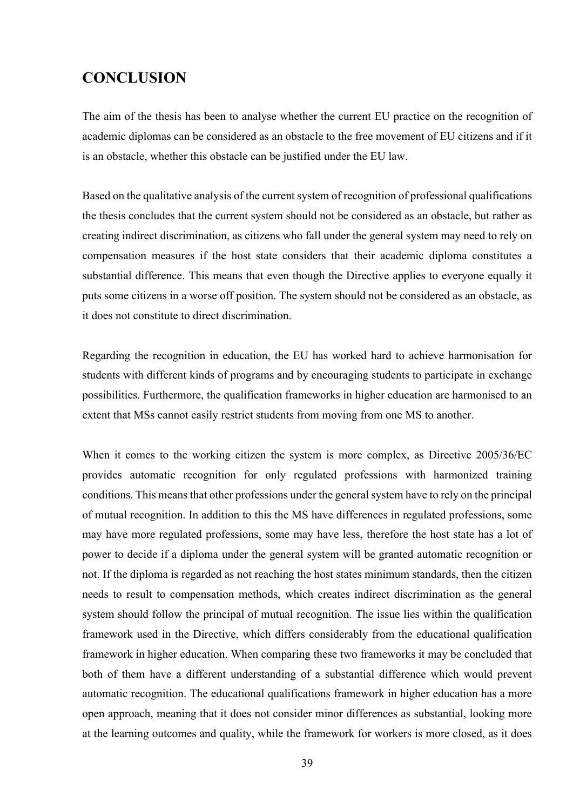## **CONCLUSION**

The aim of the thesis has been to analyse whether the current EU practice on the recognition of academic diplomas can be considered as an obstacle to the free movement of EU citizens and if it is an obstacle, whether this obstacle can be justified under the EU law.

Based on the qualitative analysis of the current system of recognition of professional qualifications the thesis concludes that the current system should not be considered as an obstacle, but rather as creating indirect discrimination, as citizens who fall under the general system may need to rely on compensation measures if the host state considers that their academic diploma constitutes a substantial difference. This means that even though the Directive applies to everyone equally it puts some citizens in a worse off position. The system should not be considered as an obstacle, as it does not constitute to direct discrimination.

Regarding the recognition in education, the EU has worked hard to achieve harmonisation for students with different kinds of programs and by encouraging students to participate in exchange possibilities. Furthermore, the qualification frameworks in higher education are harmonised to an extent that MSs cannot easily restrict students from moving from one MS to another.

When it comes to the working citizen the system is more complex, as Directive 2005/36/EC provides automatic recognition for only regulated professions with harmonized training conditions. This means that other professions under the general system have to rely on the principal of mutual recognition. In addition to this the MS have differences in regulated professions, some may have more regulated professions, some may have less, therefore the host state has a lot of power to decide if a diploma under the general system will be granted automatic recognition or not. If the diploma is regarded as not reaching the host states minimum standards, then the citizen needs to result to compensation methods, which creates indirect discrimination as the general system should follow the principal of mutual recognition. The issue lies within the qualification framework used in the Directive, which differs considerably from the educational qualification framework in higher education. When comparing these two frameworks it may be concluded that both of them have a different understanding of a substantial difference which would prevent automatic recognition. The educational qualifications framework in higher education has a more open approach, meaning that it does not consider minor differences as substantial, looking more at the learning outcomes and quality, while the framework for workers is more closed, as it does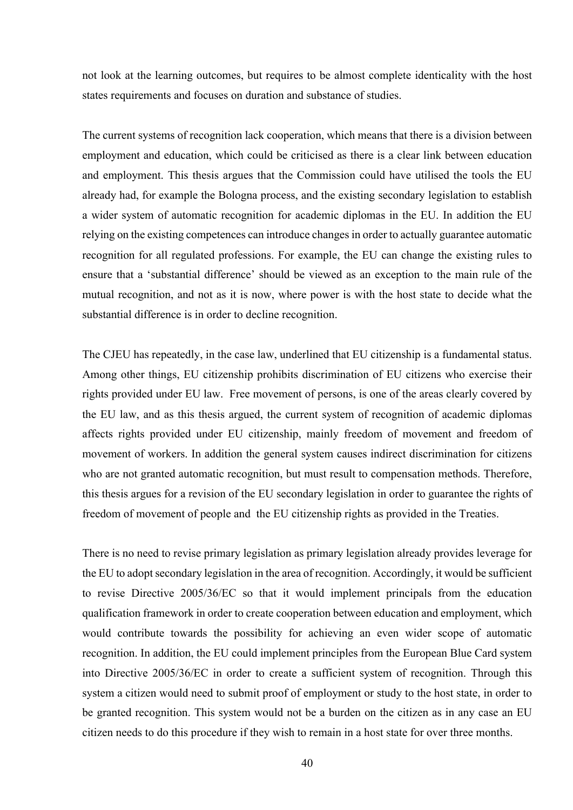not look at the learning outcomes, but requires to be almost complete identicality with the host states requirements and focuses on duration and substance of studies.

The current systems of recognition lack cooperation, which means that there is a division between employment and education, which could be criticised as there is a clear link between education and employment. This thesis argues that the Commission could have utilised the tools the EU already had, for example the Bologna process, and the existing secondary legislation to establish a wider system of automatic recognition for academic diplomas in the EU. In addition the EU relying on the existing competences can introduce changes in order to actually guarantee automatic recognition for all regulated professions. For example, the EU can change the existing rules to ensure that a 'substantial difference' should be viewed as an exception to the main rule of the mutual recognition, and not as it is now, where power is with the host state to decide what the substantial difference is in order to decline recognition.

The CJEU has repeatedly, in the case law, underlined that EU citizenship is a fundamental status. Among other things, EU citizenship prohibits discrimination of EU citizens who exercise their rights provided under EU law. Free movement of persons, is one of the areas clearly covered by the EU law, and as this thesis argued, the current system of recognition of academic diplomas affects rights provided under EU citizenship, mainly freedom of movement and freedom of movement of workers. In addition the general system causes indirect discrimination for citizens who are not granted automatic recognition, but must result to compensation methods. Therefore, this thesis argues for a revision of the EU secondary legislation in order to guarantee the rights of freedom of movement of people and the EU citizenship rights as provided in the Treaties.

There is no need to revise primary legislation as primary legislation already provides leverage for the EU to adopt secondary legislation in the area of recognition. Accordingly, it would be sufficient to revise Directive 2005/36/EC so that it would implement principals from the education qualification framework in order to create cooperation between education and employment, which would contribute towards the possibility for achieving an even wider scope of automatic recognition. In addition, the EU could implement principles from the European Blue Card system into Directive 2005/36/EC in order to create a sufficient system of recognition. Through this system a citizen would need to submit proof of employment or study to the host state, in order to be granted recognition. This system would not be a burden on the citizen as in any case an EU citizen needs to do this procedure if they wish to remain in a host state for over three months.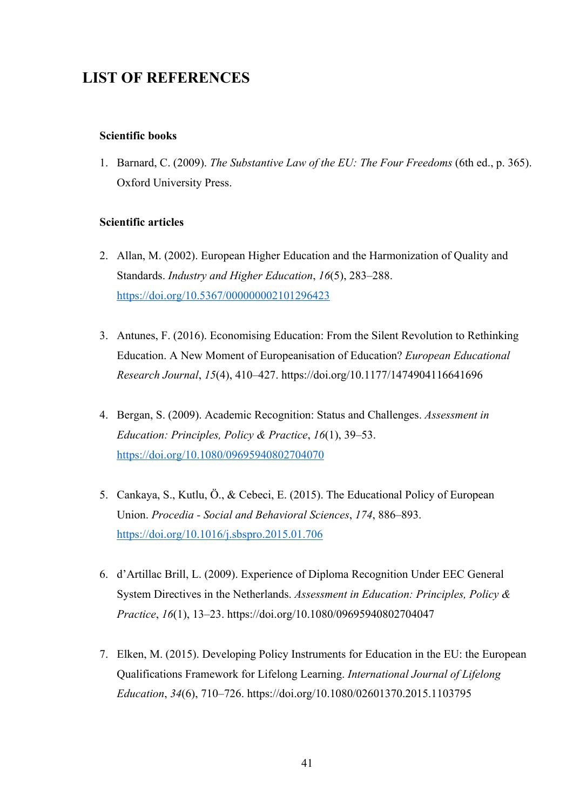## **LIST OF REFERENCES**

## **Scientific books**

1. Barnard, C. (2009). *The Substantive Law of the EU: The Four Freedoms* (6th ed., p. 365). Oxford University Press.

### **Scientific articles**

- 2. Allan, M. (2002). European Higher Education and the Harmonization of Quality and Standards. *Industry and Higher Education*, *16*(5), 283–288. https://doi.org/10.5367/000000002101296423
- 3. Antunes, F. (2016). Economising Education: From the Silent Revolution to Rethinking Education. A New Moment of Europeanisation of Education? *European Educational Research Journal*, *15*(4), 410–427. https://doi.org/10.1177/1474904116641696
- 4. Bergan, S. (2009). Academic Recognition: Status and Challenges. *Assessment in Education: Principles, Policy & Practice*, *16*(1), 39–53. https://doi.org/10.1080/09695940802704070
- 5. Cankaya, S., Kutlu, Ö., & Cebeci, E. (2015). The Educational Policy of European Union. *Procedia - Social and Behavioral Sciences*, *174*, 886–893. https://doi.org/10.1016/j.sbspro.2015.01.706
- 6. d'Artillac Brill, L. (2009). Experience of Diploma Recognition Under EEC General System Directives in the Netherlands. *Assessment in Education: Principles, Policy & Practice*, *16*(1), 13–23. https://doi.org/10.1080/09695940802704047
- 7. Elken, M. (2015). Developing Policy Instruments for Education in the EU: the European Qualifications Framework for Lifelong Learning. *International Journal of Lifelong Education*, *34*(6), 710–726. https://doi.org/10.1080/02601370.2015.1103795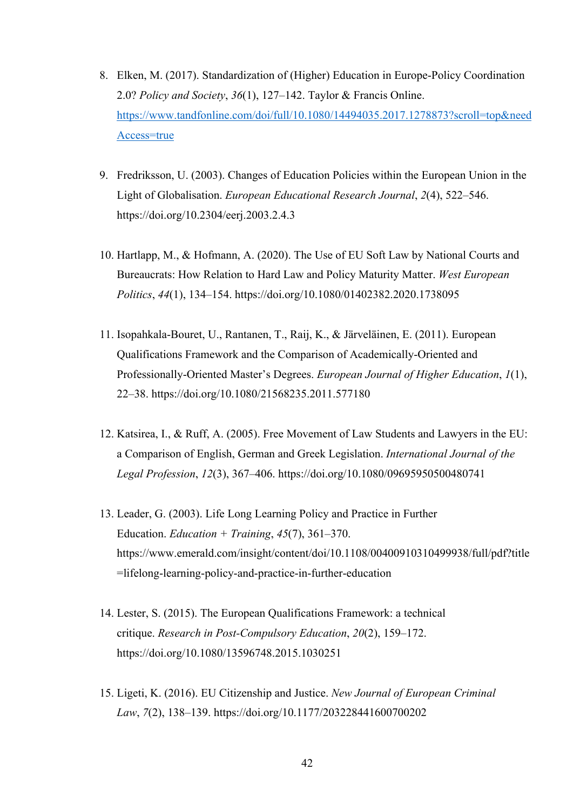- 8. Elken, M. (2017). Standardization of (Higher) Education in Europe-Policy Coordination 2.0? *Policy and Society*, *36*(1), 127–142. Taylor & Francis Online. https://www.tandfonline.com/doi/full/10.1080/14494035.2017.1278873?scroll=top&need Access=true
- 9. Fredriksson, U. (2003). Changes of Education Policies within the European Union in the Light of Globalisation. *European Educational Research Journal*, *2*(4), 522–546. https://doi.org/10.2304/eerj.2003.2.4.3
- 10. Hartlapp, M., & Hofmann, A. (2020). The Use of EU Soft Law by National Courts and Bureaucrats: How Relation to Hard Law and Policy Maturity Matter. *West European Politics*, *44*(1), 134–154. https://doi.org/10.1080/01402382.2020.1738095
- 11. Isopahkala-Bouret, U., Rantanen, T., Raij, K., & Järveläinen, E. (2011). European Qualifications Framework and the Comparison of Academically-Oriented and Professionally-Oriented Master's Degrees. *European Journal of Higher Education*, *1*(1), 22–38. https://doi.org/10.1080/21568235.2011.577180
- 12. Katsirea, I., & Ruff, A. (2005). Free Movement of Law Students and Lawyers in the EU: a Comparison of English, German and Greek Legislation. *International Journal of the Legal Profession*, *12*(3), 367–406. https://doi.org/10.1080/09695950500480741
- 13. Leader, G. (2003). Life Long Learning Policy and Practice in Further Education. *Education + Training*, *45*(7), 361–370. https://www.emerald.com/insight/content/doi/10.1108/00400910310499938/full/pdf?title =lifelong-learning-policy-and-practice-in-further-education
- 14. Lester, S. (2015). The European Qualifications Framework: a technical critique. *Research in Post-Compulsory Education*, *20*(2), 159–172. https://doi.org/10.1080/13596748.2015.1030251
- 15. Ligeti, K. (2016). EU Citizenship and Justice. *New Journal of European Criminal Law*, *7*(2), 138–139. https://doi.org/10.1177/203228441600700202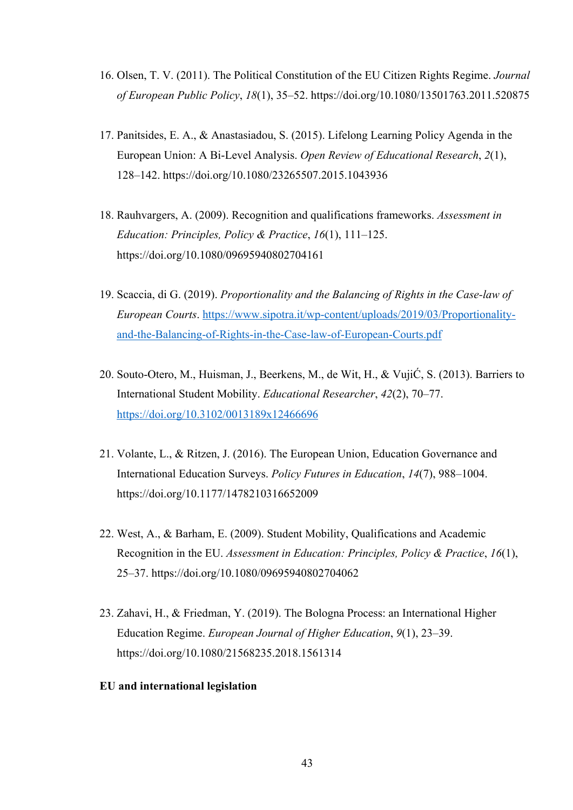- 16. Olsen, T. V. (2011). The Political Constitution of the EU Citizen Rights Regime. *Journal of European Public Policy*, *18*(1), 35–52. https://doi.org/10.1080/13501763.2011.520875
- 17. Panitsides, E. A., & Anastasiadou, S. (2015). Lifelong Learning Policy Agenda in the European Union: A Bi-Level Analysis. *Open Review of Educational Research*, *2*(1), 128–142. https://doi.org/10.1080/23265507.2015.1043936
- 18. Rauhvargers, A. (2009). Recognition and qualifications frameworks. *Assessment in Education: Principles, Policy & Practice*, *16*(1), 111–125. https://doi.org/10.1080/09695940802704161
- 19. Scaccia, di G. (2019). *Proportionality and the Balancing of Rights in the Case-law of European Courts*. https://www.sipotra.it/wp-content/uploads/2019/03/Proportionalityand-the-Balancing-of-Rights-in-the-Case-law-of-European-Courts.pdf
- 20. Souto-Otero, M., Huisman, J., Beerkens, M., de Wit, H., & VujiĆ, S. (2013). Barriers to International Student Mobility. *Educational Researcher*, *42*(2), 70–77. https://doi.org/10.3102/0013189x12466696
- 21. Volante, L., & Ritzen, J. (2016). The European Union, Education Governance and International Education Surveys. *Policy Futures in Education*, *14*(7), 988–1004. https://doi.org/10.1177/1478210316652009
- 22. West, A., & Barham, E. (2009). Student Mobility, Qualifications and Academic Recognition in the EU. *Assessment in Education: Principles, Policy & Practice*, *16*(1), 25–37. https://doi.org/10.1080/09695940802704062
- 23. Zahavi, H., & Friedman, Y. (2019). The Bologna Process: an International Higher Education Regime. *European Journal of Higher Education*, *9*(1), 23–39. https://doi.org/10.1080/21568235.2018.1561314
- **EU and international legislation**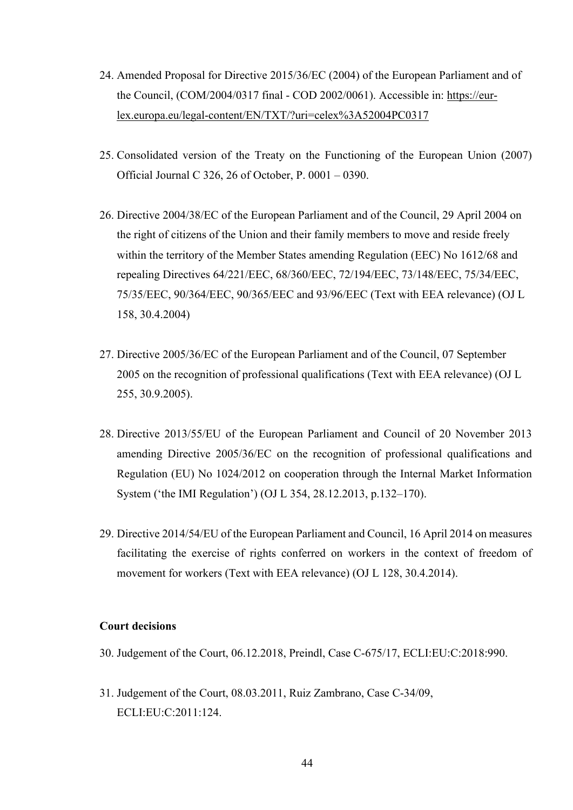- 24. Amended Proposal for Directive 2015/36/EC (2004) of the European Parliament and of the Council, (COM/2004/0317 final - COD 2002/0061). Accessible in: https://eurlex.europa.eu/legal-content/EN/TXT/?uri=celex%3A52004PC0317
- 25. Consolidated version of the Treaty on the Functioning of the European Union (2007) Official Journal C 326, 26 of October, P. 0001 – 0390.
- 26. Directive 2004/38/EC of the European Parliament and of the Council, 29 April 2004 on the right of citizens of the Union and their family members to move and reside freely within the territory of the Member States amending Regulation (EEC) No 1612/68 and repealing Directives 64/221/EEC, 68/360/EEC, 72/194/EEC, 73/148/EEC, 75/34/EEC, 75/35/EEC, 90/364/EEC, 90/365/EEC and 93/96/EEC (Text with EEA relevance) (OJ L 158, 30.4.2004)
- 27. Directive 2005/36/EC of the European Parliament and of the Council, 07 September 2005 on the recognition of professional qualifications (Text with EEA relevance) (OJ L 255, 30.9.2005).
- 28. Directive 2013/55/EU of the European Parliament and Council of 20 November 2013 amending Directive 2005/36/EC on the recognition of professional qualifications and Regulation (EU) No 1024/2012 on cooperation through the Internal Market Information System ('the IMI Regulation') (OJ L 354, 28.12.2013, p.132–170).
- 29. Directive 2014/54/EU of the European Parliament and Council, 16 April 2014 on measures facilitating the exercise of rights conferred on workers in the context of freedom of movement for workers (Text with EEA relevance) (OJ L 128, 30.4.2014).

## **Court decisions**

- 30. Judgement of the Court, 06.12.2018, Preindl, Case C-675/17, ECLI:EU:C:2018:990.
- 31. Judgement of the Court, 08.03.2011, Ruiz Zambrano, Case C-34/09, ECLI:EU:C:2011:124.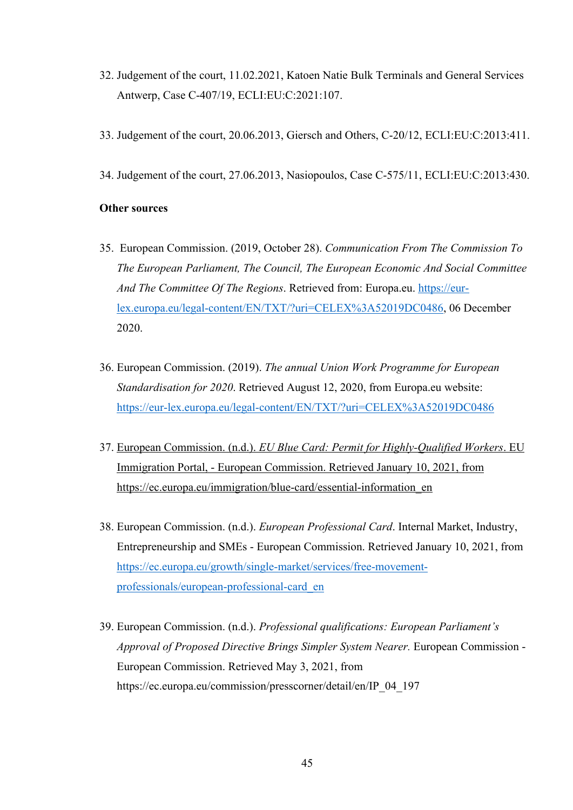- 32. Judgement of the court, 11.02.2021, Katoen Natie Bulk Terminals and General Services Antwerp, Case C-407/19, ECLI:EU:C:2021:107.
- 33. Judgement of the court, 20.06.2013, Giersch and Others, C-20/12, ECLI:EU:C:2013:411.
- 34. Judgement of the court, 27.06.2013, Nasiopoulos, Case C-575/11, ECLI:EU:C:2013:430.

### **Other sources**

- 35. European Commission. (2019, October 28). *Communication From The Commission To The European Parliament, The Council, The European Economic And Social Committee And The Committee Of The Regions*. Retrieved from: Europa.eu. https://eurlex.europa.eu/legal-content/EN/TXT/?uri=CELEX%3A52019DC0486, 06 December 2020.
- 36. European Commission. (2019). *The annual Union Work Programme for European Standardisation for 2020*. Retrieved August 12, 2020, from Europa.eu website: https://eur-lex.europa.eu/legal-content/EN/TXT/?uri=CELEX%3A52019DC0486
- 37. European Commission. (n.d.). *EU Blue Card: Permit for Highly-Qualified Workers*. EU Immigration Portal, - European Commission. Retrieved January 10, 2021, from https://ec.europa.eu/immigration/blue-card/essential-information\_en
- 38. European Commission. (n.d.). *European Professional Card*. Internal Market, Industry, Entrepreneurship and SMEs - European Commission. Retrieved January 10, 2021, from https://ec.europa.eu/growth/single-market/services/free-movementprofessionals/european-professional-card\_en
- 39. European Commission. (n.d.). *Professional qualifications: European Parliament's Approval of Proposed Directive Brings Simpler System Nearer.* European Commission - European Commission. Retrieved May 3, 2021, from https://ec.europa.eu/commission/presscorner/detail/en/IP\_04\_197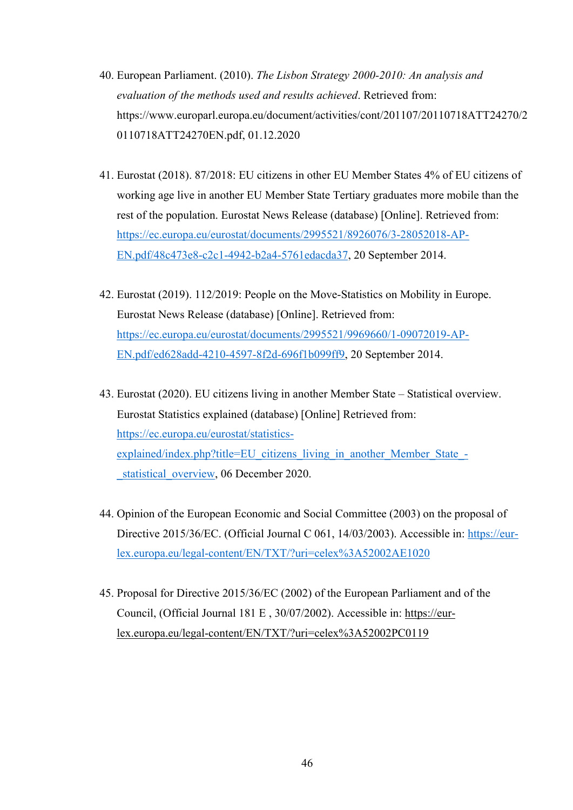- 40. European Parliament. (2010). *The Lisbon Strategy 2000-2010: An analysis and evaluation of the methods used and results achieved*. Retrieved from: https://www.europarl.europa.eu/document/activities/cont/201107/20110718ATT24270/2 0110718ATT24270EN.pdf, 01.12.2020
- 41. Eurostat (2018). 87/2018: EU citizens in other EU Member States 4% of EU citizens of working age live in another EU Member State Tertiary graduates more mobile than the rest of the population. Eurostat News Release (database) [Online]. Retrieved from: https://ec.europa.eu/eurostat/documents/2995521/8926076/3-28052018-AP-EN.pdf/48c473e8-c2c1-4942-b2a4-5761edacda37, 20 September 2014.
- 42. Eurostat (2019). 112/2019: People on the Move-Statistics on Mobility in Europe. Eurostat News Release (database) [Online]. Retrieved from: https://ec.europa.eu/eurostat/documents/2995521/9969660/1-09072019-AP-EN.pdf/ed628add-4210-4597-8f2d-696f1b099ff9, 20 September 2014.
- 43. Eurostat (2020). EU citizens living in another Member State Statistical overview. Eurostat Statistics explained (database) [Online] Retrieved from: https://ec.europa.eu/eurostat/statisticsexplained/index.php?title=EU\_citizens\_living\_in\_another\_Member\_State\_-\_statistical\_overview, 06 December 2020.
- 44. Opinion of the European Economic and Social Committee (2003) on the proposal of Directive 2015/36/EC. (Official Journal C 061, 14/03/2003). Accessible in: https://eurlex.europa.eu/legal-content/EN/TXT/?uri=celex%3A52002AE1020
- 45. Proposal for Directive 2015/36/EC (2002) of the European Parliament and of the Council, (Official Journal 181 E , 30/07/2002). Accessible in: https://eurlex.europa.eu/legal-content/EN/TXT/?uri=celex%3A52002PC0119